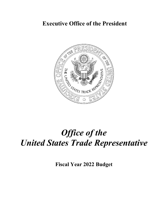# **Executive Office of the President**



# *Office of the United States Trade Representative*

**Fiscal Year 2022 Budget**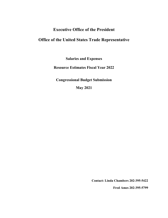### **Executive Office of the President**

## **Office of the United States Trade Representative**

**Salaries and Expenses**

**Resource Estimates Fiscal Year 2022**

**Congressional Budget Submission**

**May 2021**

**Contact: Linda Chambers 202-395-5422**

**Fred Ames 202-395-5799**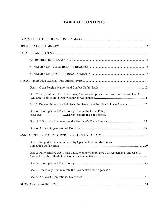### **TABLE OF CONTENTS**

| Goal 2: Fully Enforce U.S. Trade Laws, Monitor Compliance with Agreements, and Use All |
|----------------------------------------------------------------------------------------|
| Goal 3: Develop Innovative Policies to Implement the President's Trade Agenda15        |
| Goal 4: Develop Sound Trade Policy Through Inclusive Policy                            |
|                                                                                        |
|                                                                                        |
|                                                                                        |
| Goal 1: Support American Interests by Opening Foreign Markets and                      |
| Goal 2: Fully Enforce U.S. Trade Laws, Monitor Compliance with Agreements, and Use All |
|                                                                                        |
| Goal 4: Effectively Communicate the President's Trade Agenda48                         |
|                                                                                        |
|                                                                                        |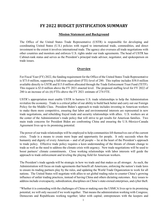### **FY 2022 BUDGET JUSTIFICATION SUMMARY**

#### **Mission Statement and Background**

<span id="page-3-0"></span>The Office of the United States Trade Representative (USTR) is responsible for developing and coordinating United States (U.S.) policies with regard to international trade, commodities, and direct investment to the extent it involves international trade. The agency also oversees all trade negotiations with other countries and monitors and enforces U.S. rights under our trade agreements. The head of USTR has Cabinet-rank status and serves as the President's principal trade advisor, negotiator, and spokesperson on trade issues.

#### <span id="page-3-1"></span>**Overview**

For Fiscal Year (FY) 2022, the funding requirement for the Office of the United States Trade Representative is \$73.0 million, supporting a full-time equivalent (FTE) level of 280. This topline includes \$58.0 million available directly to USTR and \$15.0 million allocated through the Trade Enforcement Trust Fund (TETF). This request is \$3.0 million above the FY 2021 enacted level. The proposed staffing level for FY 2022 of 280 is an increase of six (6) FTEs above the FY 2021 estimate of 274 FTE.

USTR's appropriation must enable USTR to harness U.S. trade relationships to help the Administration revitalize the economy. Trade is a critical pillar of our ability to build back better and carry out our Foreign Policy for the Middle Class. President Biden's approach to trade includes investing in American workers to make them more competitive, ensuring that labor and environmental interests are represented in new trade negotiations, and rebuilding frayed trade and security relationships with allies. U.S. workers are at the center of the Administration's trade policy that will strive to get results for American families. Two main trade concerns for President Biden are confronting China and ensuring the U.S.-Mexico-Canada Agreement lives up to its promising potential.

The power of our trade relationships will be employed to help communities lift themselves out of the current crisis. Trade is a means to create more hope and opportunity for people. It only succeeds when the humanity and dignity of every American -- and of all people -- lie at the heart of the President's approach to trade policy. Effective trade policy requires a keen understanding of the threats of climate change to trade as well as the need to address the climate crisis with urgency. New trade negotiations will be used to boost partners' climate commitments. Close working relationships with labor interests will guide the approach to trade enforcement and leveling the playing field for American workers.

The President's trade agenda will be strategic in how we trade and that makes us all stronger. As such, the Administration will focus on trade agreements that benefit all Americans, enforcing the nation's trade laws to ensure its trading partners play by the rules, and updating the World Trade Organization to work for all nations. The United States will negotiate with allies to set global trading rules to counter China's growing influence of unfair trading practices, instead of having China and others dictating outcomes. Key issues to address include overcapacity, subsidization, disciplines on China's state-owned enterprises, and cyber theft.

"Whether it is contending with the challenges of China or making sure the USMCA lives up to its promising potential, we will only succeed if we work together. That means the administration working with Congress; Democrats and Republicans working together; labor with capital; entrepreneurs with the keepers and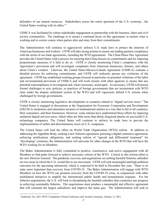defenders of our natural resources. Stakeholders across the entire spectrum of the U.S. economy…the United States working with its allies."[1](#page-4-0)

USMCA was facilitated by robust stakeholder engagement in partnership with the business, labor and civil society communities. The challenge is to ensure a continual focus on this agreement, to nurture what is working and to correct course when parties alter and stray from their commitments.

The Administration will continue to aggressively enforce U.S. trade laws to protect the interests of American businesses and workers. USTR will take strong actions to ensure our trading partners compliance with the terms of our trade agreements, including the WTO agreements. The China Phase One Agreement provides the United States with a process for ensuring that China honors its commitments and for imposing proportionate measures if it fails to do so. USTR is closely monitoring China's compliance with the Agreement's provisions and will investigate complaints from American businesses, farmers, and others about China's conduct. Likewise, the United States-Mexico-Canada Agreement (USMCA) contains a detailed process for enforcing commitments, and USTR will zealously pursue any violations of the agreement. USTR has established working groups focused in particular on potential violations of the labor and environmental provisions of USMCA and will work closely with other agencies to ensure that any potential noncompliance is investigated and, where necessary, acted upon. As necessary, USTR will pursue formal challenges to acts, policies, or practices of foreign governments that are inconsistent with WTO rules under the dispute settlement system of the WTO and will vigorously defend U.S. actions when challenged by foreign governments.

USTR is closely monitoring legislative developments in countries related to "digital services taxes." The United States is engaged in discussions at the Organization for Economic Cooperation and Development (OECD) to modernize and rationalize taxation of multinational entities in a way that is fair to all countries, their consumers, and their businesses. However, some nations have undermined those efforts by imposing unilateral digital services taxes, which often are little more than thinly disguised attacks on successful U.S. technology companies. The United States will continue to enforce its trade laws to prevent the implementation of unfair and discriminatory taxes on U.S. companies.

The United States will lead the effort on World Trade Organization (WTO) reform. In addition to addressing the Appellate Body, seeking a new fisheries agreement, pursuing a digital commerce agreement, enforcing notifications obligations, and seeking reform of "special and differential treatment" for "developing" countries, the Administration will advocate for other changes at the WTO that will have the WTO working for its Members.

The Biden Administration is fully committed to positive, constructive, and active engagement with all Members to find paths forward to achieve necessary reform of the WTO. Critical to this reform effort is the new Director General. The pandemic recovery and negotiations on curbing harmful fisheries subsidies are two areas in which the U.S. would like to see movement. USTR will seek meaningful and high ambition outcomes for the upcoming ministerial, which is expected to be held in December this year. There is no topic more important than recovery from COVID-19. The Biden Administration will engage with WTO Members on how the WTO can promote recovery from the COVID-19 crisis, in conjunction with other multilateral initiatives to amplify the international public health and humanitarian response. For the fisheries negotiations, the U.S. will look to disciplining the harmful subsidies that counteract any progress in achieving sustainable fisheries. The negotiations must produce a meaningful and effective agreement that will constrain the largest subsidizers and improve the status quo. The Administration will seek to

<span id="page-4-0"></span><sup>&</sup>lt;sup>1</sup> Katherine Tai, 2021 NFTC Foundation Virtual Conference and Awards Ceremony, January 12, 2021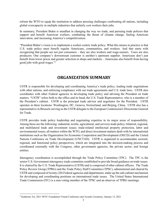reform the WTO to equip the institution to address pressing challenges confronting all nations, including global overcapacity in multiple industries that unfairly cost workers their jobs.

In summary, President Biden is steadfast in changing the way we trade, and pursuing trade policies that support and benefit American workers, combatting the threat of climate change, fueling American innovation, and increasing America's competitiveness.

"President Biden's vision is to implement a worker-centric trade policy. What this means in practice is that U.S. trade policy must benefit regular Americans, communities, and workers. And that starts with recognizing that people are not just consumers – they are also workers and wage-earners. Users are also producers. One company's downstream customer is another's upstream supplier. Americans don't just benefit from lower prices and greater selection in shops and markets – Americans also benefit from having good jobs with good wages."[2](#page-5-0)

### **ORGANIZATION SUMMARY**

USTR is responsible for developing and coordinating America's trade policy, leading trade negotiations with other nations, and enforcing compliance with our trade agreements and U.S. trade laws. USTR also coordinates with other Federal agencies in developing trade policy and advising the President on trade matters. "USTR" refers both to the office and its head, the U.S. Trade Representative, who is a member of the President's cabinet. USTR is the principal trade advisor and negotiator for the President. USTR operates in three locations: Washington, DC, Geneva, Switzerland, and Beijing, China. USTR also has a representative in Brussels serving as the USTR delegate to the European Commission's Directorate-General for Trade.

USTR provides trade policy leadership and negotiating expertise in its major areas of responsibility. Among these are the following: industrial, textile, agricultural, and services trade policy; bilateral, regional, and multilateral trade and investment issues; trade-related intellectual property protection, labor and environmental issues; all matters within the WTO, and direct investment matters dealt with by international institutions such as the Organization for Economic Cooperation and Development (OECD) and the United Nations Conference on Trade Development (UNCTAD). USTR is organized to accommodate sectoral, regional, and functional policy perspectives, which are integrated into the decision-making process and coordinated externally with the Congress, other government agencies, the private sector, and foreign entities.

Interagency coordination is accomplished through the Trade Policy Committee (TPC). The TPC is the senior U.S. Government interagency trade committee established to provide broad guidance on trade issues. It is chaired by the U.S. Trade Representative (USTR) and is composed of other cabinet officers. The Trade Policy Review Group (TPRG) and the Trade Policy Staff Committee (TPSC), administered and chaired by USTR and composed of twenty (20) Federal agencies and departments, make up the sub-cabinet mechanism for developing and coordinating positions on international trade issues. The United States International Trade Commission (ITC) is a non-voting member of the TPSC and an observer of TPRG meetings.

<span id="page-5-0"></span> <sup>2</sup> Katherine Tai, 2021 NFTC Foundation Virtual Conference and Awards Ceremony, January 12, 2021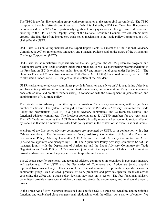The TPSC is the first line operating group, with representation at the senior civil servant level. The TPSC is supported by eighty (80) subcommittees, each of which is chaired by a USTR staff member. If agreement is not reached in the TPSC, or if particularly significant policy questions are being considered, issues are taken up to the TPRG or the Deputy Group of the National Economic Council, two sub-cabinet-level groups. The final tier of the interagency trade policy mechanism is the Trade Policy Committee, or TPC, chaired by the USTR.

USTR also is a non-voting member of the Export-Import Bank, is a member of the National Advisory Committee (NAC) on International Monetary and Financial Policies, and on the Board of the Millennium Challenge Corporation (MCC).

USTR also has administrative responsibility for the GSP program, the AGOA preference program, and Section 301 complaints against foreign unfair trade practices, as well as coordinating recommendations to the President on ITC determinations under Section 337 and import relief cases under Section 201. The Omnibus Trade and Competitiveness Act of 1988 (Trade Act of 1988) transferred authority to the USTR to take action under Section 301, subject to the direction of the President.

USTR's private sector advisory committees provide information and advice on U.S. negotiating objectives and bargaining positions before entering into trade agreements, on the operation of any trade agreement once entered into, and on other matters arising in connection with the development, implementation, and administration of U.S. trade policy.

The private sector advisory committee system consists of 28 advisory committees, with a significant number of advisors. The system is arranged in three tiers: the President's Advisory Committee for Trade Policy and Negotiations (ACTPN); five policy advisory committees; and 22 technical, sectoral, and functional advisory committees. The President appoints up to 45 ACTPN members for two-year terms. The 1974 Trade Act requires that ACTPN membership broadly represents key economic sectors affected by trade, and that the Committee consider trade policy issues in the context of the overall national interest.

Members of the five policy advisory committees are appointed by USTR or in conjunction with other Cabinet members. The Intergovernmental Policy Advisory Committee (IGPAC), the Trade and Environment Policy Advisory Committee (TEPAC), and the Trade Advisory Committee for Africa (TACA) are appointed and managed by USTR. The Agricultural Policy Advisory Committee (APAC) is managed jointly with the Department of Agriculture and the Labor Advisory Committee for Trade Negotiations and Trade Policy (LAC) is managed jointly with the Department of Labor. Each committee provides advice based upon the perspectives of its specific sector or area.

The 22 sector-specific, functional, and technical advisory committees are organized in two areas: industry and agriculture. The USTR and the Secretaries of Commerce and Agriculture jointly appoint representatives, respectively. Each sectoral or technical committee represents a specific sector or commodity group (such as sewn products or dairy products) and provides specific technical advice concerning the effect that a trade policy decision may have on its sector. The four functional advisory committees provide cross-sectoral advice on customs, standards, e-commerce, and intellectual property issues.

In the Trade Act of 1974, Congress broadened and codified USTR's trade policymaking and negotiating functions and established close congressional relationships with the office. As a matter of comity, five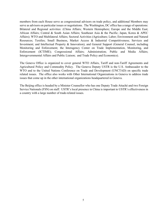members from each House serve as congressional advisors on trade policy, and additional Members may serve as advisors on particular issues or negotiations. The Washington, DC office has a range of operations: Bilateral and Regional activities: (China Affairs; Western Hemisphere; Europe and the Middle East; African Affairs; Central & South Asian Affairs; Southeast Asia & the Pacific; Japan, Korea & APEC Affairs); WTO and Multilateral Affairs; Sectoral Activities (Agriculture; Labor; Environment and Natural Resources; Textiles; Small Business, Market Access & Industrial Competitiveness; Services and Investment; and Intellectual Property & Innovation); and General Support (General Counsel, including Monitoring and Enforcement; the Interagency Center on Trade Implementation, Monitoring, and Enforcement (ICTIME); Congressional Affairs; Administration; Public and Media Affairs; Intergovernmental Affairs and Public Liaison; and Trade Policy and Economics).

The Geneva Office is organized to cover general WTO Affairs, Tariff and non-Tariff Agreements and Agricultural Policy and Commodity Policy. The Geneva Deputy USTR is the U.S. Ambassador to the WTO and to the United Nations Conference on Trade and Development (UNCTAD) on specific trade related issues. The office also works with Other International Organizations in Geneva to address trade issues that come up in the other international organizations headquartered in Geneva.

The Beijing office is headed by a Minister Counsellor who has one Deputy Trade Attaché and two Foreign Service Nationals (FSN) on staff. USTR's local presence in China is important to USTR's effectiveness in a country with a large number of trade-related issues.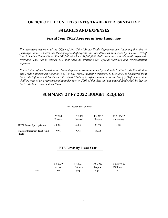### <span id="page-8-0"></span>**OFFICE OF THE UNITED STATES TRADE REPRESENTATIVE**

### **SALARIES AND EXPENSES**

### *Fiscal Year 2022 Appropriations Language*

<span id="page-8-1"></span>*For necessary expenses of the Office of the United States Trade Representative, including the hire of passenger motor vehicles and the employment of experts and consultants as authorized by section 3109 of title 5, United States Code, \$58,000,000 of which \$1,000,000 shall remain available until expended: Provided, That not to exceed \$124,000 shall be available for official reception and representation expenses.*

*For activities of the United States Trade Representative authorized by section 611 of the Trade Facilitation and Trade Enforcement Act of 2015 (19 U.S.C. 4405), including transfers, \$15,000,000, to be derived from the Trade Enforcement Trust Fund: Provided, That any transfer pursuant to subsection (d)(1) of such section shall be treated as a reprogramming under section 5005 of this Act; and any unused funds shall be kept in the Trade Enforcement Trust Fund.*

### <span id="page-8-2"></span>**SUMMARY OF FY 2022 BUDGET REQUEST**

|                                        | (in thousands of dollars) |                    |                    |                          |
|----------------------------------------|---------------------------|--------------------|--------------------|--------------------------|
|                                        | FY 2020<br>Enacted        | FY 2021<br>Enacted | FY 2022<br>Request | FY21/FY22<br>Difference  |
| <b>USTR</b> Direct Appropriation       | 54,000                    | 55,000             | 58,000             | 3,000                    |
| Trade Enforcement Trust Fund<br>(TETF) | 15,000                    | 15,000             | 15,000             | $\overline{\phantom{a}}$ |

### **FTE Levels by Fiscal Year**

|     | FY 2020 | FY 2021  | FY 2022 | FY21/FY22  |
|-----|---------|----------|---------|------------|
|     | Actual  | Estimate | Request | Difference |
| FTE | 259     | 274      | 280     |            |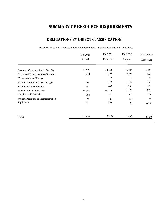# **SUMMARY OF RESOURCE REQUIREMENTS**

### **OBLIGATIONS BY OBJECT CLASSIFICATION**

(Combined USTR expenses and trade enforcement trust fund in thousands of dollars)

<span id="page-9-0"></span>

|                                       | FY 2020  | FY 2021        | FY 2022  | FY21/FY22    |
|---------------------------------------|----------|----------------|----------|--------------|
|                                       | Actual   | Estimate       | Request  | Difference   |
| Personnel Compensation & Benefits     | 52,607   | 54,585         | 56,844   | 2,259        |
| Travel and Transportation of Persons  | 1,641    | 2,333          | 2,750    | 417          |
| <b>Transportation of Things</b>       | $\theta$ | $\overline{0}$ | $\theta$ | $\mathbf{0}$ |
| Comm., Utilities, & Misc. Charges     | 783      | 1,102          | 1,142    | 40           |
| Printing and Reproduction             | 326      | 263            | 208      | $-55$        |
| <b>Other Contractual Services</b>     | 10,743   | 10,716         | 11,425   | 709          |
| Supplies and Materials                | 384      | 322            | 451      | 129          |
| Official Reception and Representation | 36       | 124            | 124      | $\mathbf{0}$ |
| Equipment                             | 289      | 555            | 56       | -499         |
|                                       |          |                |          |              |

| <b>CONTRACTOR</b><br>Totals | 020<br>◠<br>__ | .000<br>$\neg$ | -<br>000<br>. . | 000 |
|-----------------------------|----------------|----------------|-----------------|-----|
|                             |                |                |                 |     |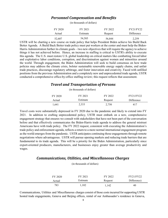### *Personnel Compensation and Benefits*

|         | (in thousands of dollars) |         |                  |
|---------|---------------------------|---------|------------------|
| FY 2020 | FY 2021                   | FY 2022 | <b>FY21/FY22</b> |
| Actual  | Estimate                  | Request | Difference       |
| 52,607  | 54,585                    | 56,844  | 2,259            |

USTR will be charting a new course on trade policy that helps President Biden achieve his Build Back Better Agenda. A Build Back Better trade policy must put workers at the center and must help the Biden-Harris Administration further its climate goals – two new objectives that will require the agency to achieve things it has not achieved before. Hence, an increase in staffing is critical to USTR's ability to execute this agenda. The U.S. must restore U.S. global leadership on critical matters like combatting forced labor and exploitative labor conditions, corruption, and discrimination against women and minorities around the world. Through engagement, the Biden Administration will seek to build consensus on how trade policies may address the climate crisis, bolster sustainable renewable energy supply chains, end unfair trade practices, discourage regulatory arbitrage, and foster innovation and creativity. Faced with unfilled positions from the previous Administration and a completely new and unprecedented trade agenda, USTR conducted a comprehensive office-by-office staffing review; this request reflects that assessment.

### *Travel and Transportation of Persons*

(in thousands of dollars)

| FY 2020 | FY 2021  | FY 2022 | <b>FY21/FY22</b> |
|---------|----------|---------|------------------|
| Actual  | Estimate | Request | Difference       |
| ,641    | 2,333    | 2,750   | 417              |

Travel costs were substantially depressed in FY 2020 due to the pandemic and likely to extend into FY 2021. In addition to crafting unprecedented policy, USTR must embark on a new, comprehensive engagement strategy that ensures we consult with stakeholders that have not been part of the conversation before and that effectively communicates the Biden-Harris trade agenda to address the general mistrust Americans have with trade policy. The FY 2022 request, consistent with executing the Administration's trade policy and enforcement agenda, reflects a return to a more normal international engagement program as the world emerges from the pandemic. USTR anticipates continuing those engagements through remote negotiations where advantageous. USTR will pursue opening markets and reducing trade barriers that are fundamental to its trade agenda. This will be a priority for the Biden Administration, particularly since export-oriented producers, manufacturers, and businesses enjoy greater than average productivity and wages.

### *Communications, Utilities, and Miscellaneous Charges*

(in thousands of dollars)

| FY 2020 | FY 2021  | FY 2022 | <b>FY21/FY22</b> |
|---------|----------|---------|------------------|
| Actual  | Estimate | Request | Difference)      |
| 783     | 1,102    | 1,142   | 40               |

Communications, Utilities and Miscellaneous charges consist of those costs incurred for supporting USTR hosted trade engagements, Geneva and Beijing offices, rental of our Ambassador's residence in Geneva,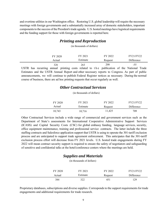and overtime utilities in our Washington office. Restoring U.S. global leadership will require the necessary meetings with foreign governments and a substantially increased array of domestic stakeholders, important components to the success of the President's trade agenda. U.S. hosted meetings have logistical requirements and the funding support for those with foreign governments is reported here.

### *Printing and Reproduction*

(in thousands of dollars)

| FY 2020 | FY 2021  | FY 2022 | FY21/FY22  |
|---------|----------|---------|------------|
| Actual  | Estimate | Request | Difference |
| 326     | 263      | 208     | -55        |

USTR has recurring annual printing costs related to the publication of the National Trade Estimates and the USTR Annual Report and other necessary reports to Congress. As part of public announcements, we will continue to publish Federal Register notices as necessary. During the normal course of business, there are ad hoc printing requests that occur regularly as well.

### *Other Contractual Services*

(in thousands of dollars)

| FY 2020 | FY 2021  | FY 2022 | FY21/FY22  |
|---------|----------|---------|------------|
| Actual  | Estimate | Request | Difference |
| 10,743  | 10,716   | 11,425  | 709        |

Other Contractual Services include a wide range of commercial and government services such as the Department of State's assessments for International Cooperative Administrative Support Services (ICASS) and Capital Security Costs (CSC) for global embassy funding, language services, security, office equipment maintenance, training and professional service contracts. The latter include the three staffing contracts and Salesforce application support that USTR is using to operate the 301-tariff exclusion process and are anticipated to support trade agreement enforcement. This anticipates that the 301-tariff exclusion process effort will decrease from FY 2021 levels. U.S. hosted trade engagements during FY 2022 will mean contract security support is required to ensure the safety of negotiators and safeguarding of sensitive and confidential talks at the hotel/conference centers where the meetings are held.

### *Supplies and Materials*

(in thousands of dollars)

| FY 2020 | FY 2021  | FY 2022 | FY21/FY22  |
|---------|----------|---------|------------|
| Actual  | Estimate | Request | Difference |
| 384     | 322      | 451     | 129        |

Proprietary databases, subscriptions and diverse supplies. Corresponds to the support requirements for trade engagements and additional requirements for trade research.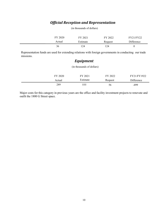### *Official Reception and Representation*

| FY 2020 | FY 2021  | FY 2022 | <b>FY21/FY22</b> |
|---------|----------|---------|------------------|
| Actual  | Estimate | Request | Difference       |
| 36      | 124      | 174     |                  |

(in thousands of dollars)

Representation funds are used for extending relations with foreign governments in conducting our trade missions.

### *Equipment*

(in thousands of dollars)

| FY 2020 | FY 2021  | FY 2022 | FY21/FY1922 |
|---------|----------|---------|-------------|
| Actual  | Estimate | Request | Difference  |
| 289     | 555      | 56      | -499        |

Major costs for this category in previous years are the office and facility investment projects to renovate and outfit the 1800 G Street space.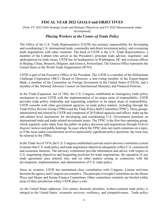### **FISCAL YEAR 2022 GOALS and OBJECTIVES**

<span id="page-13-0"></span>[Note: FY 2022-2026 Strategic Goals and Strategic Objectives, and FY 2022 Measurements under development]

### *Placing Workers at the Center of Trade Policy*

The Office of the U.S. Trade Representative (USTR) has primary responsibility for developing and coordinating U.S. international trade, commodity and direct investment policy, and overseeing trade negotiations with other countries. The head of USTR is the U.S. Trade Representative, a member of the Cabinet who serves as the President's principal trade advisor, negotiator, and spokesperson on trade issues. USTR has its headquarters in Washington, DC and overseas offices in Beijing, China, Brussels, Belgium, and Geneva, Switzerland. The Geneva Office represents the United States at the World Trade Organization (WTO).

USTR is part of the Executive Office of the President. The USTR is a member of the Millennium Challenge Corporation (MCC) Board of Directors, a non-voting member of the Export-Import Bank, a member of the Committee on Foreign Investment in the United States (CFIUS), and a member of the National Advisory Council on International Monetary and Financial Policies.

In the Trade Expansion Act of 1962, the U.S. Congress established an interagency trade policy mechanism to assist USTR with the implementation of its major areas of responsibility. USTR provides trade policy leadership and negotiating expertise in its major areas of responsibility. USTR consults with other government agencies on trade policy matters, including through the Trade Policy Review Group (TPRG) and the Trade Policy Staff Committee (TPSC). These groups, administered and chaired by USTR and composed of 20 Federal agencies and offices, make up the sub-cabinet level mechanism for developing and coordinating U.S. Government positions on international trade and trade-related investment issues. The TPSC is the first-line operating group, which regularly seeks input from the public on policy decisions and negotiations through *Federal Register* notices and public hearings. In cases where the TPSC does not reach consensus on a topic, or if the issue under consideration involves particularly significant policy questions, the issue may be referred to the TPRG.

In the Trade Act of 1974, the U.S. Congress established a private sector advisory committee system to ensure that U.S. trade policy and trade negotiation objectives adequately reflect U.S. commercial and economic interests. The advisory committees provide information and advice with respect to U.S. negotiating objectives and bargaining positions for trade negotiations, the operation of any trade agreement once entered into, and on other matters arising in connection with the development, implementation, and administration of U.S. trade policy.

Since its creation, USTR has maintained close consultation with Congress. Liaison activities between the agency and Congress are extensive. The principal oversight Committees are the House Ways and Means and Senate Finance Committees. Other committees routinely are briefed within areas of their jurisdiction where USTR plays a role.

As the United States addresses 21st century domestic priorities, worker-centered trade policy is integral to the United States' economic recovery, resiliency, and competitiveness. Trade policy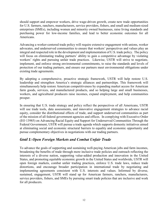should support and empower workers, drive wage-driven growth, create new trade opportunities for U.S. farmers, ranchers, manufacturers, service providers, fishers, and small and medium-sized enterprises (SMEs), including women and minority owned businesses, raise living standards and purchasing power for low-income families, and lead to better economic outcomes for all Americans.

Advancing a worker-centered trade policy will require extensive engagement with unions, worker advocates, and underserved communities to ensure that workers' perspectives and values play an integral and respected role in the development and implementation of U.S. trade policy. The policy will focus on eliminating trading partners' ability to gain a competitive advantage by violating workers' rights and pursuing unfair trade practices. Likewise, USTR will strive to negotiate, implement, and enforce strong environmental commitments, to raise the standards and levels of protection of our trading partners, and ensure our partners meet environmental obligations under existing trade agreements.

By adopting a comprehensive, proactive strategic framework, USTR will help restore U.S. leadership and strengthen America's strategic alliances and partnerships. This framework will simultaneously help restore American competitiveness by expanding market access for American farm goods, services, and manufactured products, and so helping large and small businesses, workers, and agricultural producers raise incomes, expand employment, and help communities prosper.

In ensuring that U.S. trade strategy and policy reflect the perspectives of all Americans, USTR will use trade tools, data assessments, and innovative engagement strategies to advance racial equity, consider the distributional effects of trade, and support underserved communities as part of the mission of all federal government agencies and offices. In complying with Executive Order (EO 13985) on Advancing Racial Equity and Support for Underserved Communities Through the Federal Government, USTR will pursue a trade agenda which supports domestic initiatives aimed at eliminating social and economic structural barriers to equality and economic opportunity and pursue complementary objectives in negotiations with our trading partners.

### *Goal 1: Open Foreign Markets and Combat Unfair Trade*

To advance the goals of supporting and sustaining well-paying American jobs and farm incomes, broadening the benefits of trade through more inclusive trade policies and outreach reflecting the interests of a diverse nation, supporting value-added production and innovation in the United States, and promoting equitable economic growth in the United States and worldwide, USTR will open foreign markets, combat unfair trading practices, enforce U.S. trade laws, reduce trade distortions, and encourage broader participation in international trade by negotiating and implementing agreements consistent with U.S. interests and values. Informed by diverse, sustained, engagement, USTR will stand up for American farmers, ranchers, manufacturers, service providers, fishers, and SMEs by pursuing smart trade policies that are inclusive and work for all producers.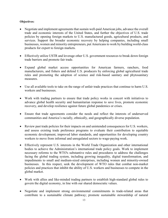- Negotiate and implement agreements that sustain well-paid American jobs, advance the overall trade and economic interests of the United States, and further the objectives of U.S. trade policies by opening foreign markets to U.S. manufactured goods, agricultural products, and services. Support the broader economic recovery by helping companies, including small businesses, women and minority entrepreneurs, put Americans to work by building world-class products for export to foreign markets.
- Effectively utilize USTR and leverage other U.S. government resources to break down foreign trade barriers and promote fair trade.
- Expand global market access opportunities for American farmers, ranchers, food manufacturers, and fishers and defend U.S. producers by enforcing global agricultural trade rules and promoting the adoption of science and risk-based sanitary and phytosanitary measures.
- Use all available tools to take on the range of unfair trade practices that continue to harm U.S. workers and businesses.
- Work with trading partners to ensure that trade policy works in concert with initiatives to advance global health security and humanitarian response to save lives, promote economic recovery, and develop resilience against future global pandemics or crises.
- Ensure that trade agreements consider the needs and reflect the interests of underserved communities and America's racially, ethnically, and geographically diverse population.
- Review past trade policies for their impacts on and unintended consequences for U.S. workers, and assess existing trade preference programs to evaluate their contribution to equitable economic development, improved labor standards, and opportunities for developing country workers to move from informal and unregulated sectors to wage-paying work.
- Effectively represent U.S. interests in the World Trade Organization and other international bodies to achieve the Administration's international trade policy goals. Work to implement necessary reforms to the WTO's substantive rules and procedures to address the challenges facing the global trading system, including growing inequality, digital transformation, and impediments to small and medium-sized enterprises, including women and minority-owned businesses. In this respect, seek the development of WTO rules that combat non-market policies and practices that inhibit the ability of U.S. workers and businesses to compete in the global market.
- Work with allies and like-minded trading partners to establish high-standard global rules to govern the digital economy, in line with our shared democratic values.
- Negotiate and implement strong environmental commitments in trade-related areas that contribute to a sustainable climate pathway; promote sustainable stewardship of natural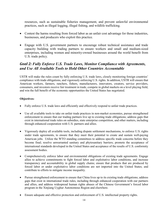resources, such as sustainable fisheries management, and prevent unlawful environmental practices, such as illegal logging, illegal fishing, and wildlife trafficking.

- Contest the harms resulting from forced labor as an unfair cost advantage for those industries, businesses, and producers who exploit this practice.
- Engage with U.S. government partners to encourage robust technical assistance and trade capacity building with trading partners to ensure workers and small and medium-sized enterprises, including women and minority-owned businesses around the world benefit from U.S. trade policy.

### *Goal 2: Fully Enforce U.S. Trade Laws, Monitor Compliance with Agreements, and Use All Available Tools to Hold Other Countries Accountable*

USTR will make the rules count by fully enforcing U.S. trade laws, closely monitoring foreign countries' compliance with trade obligations, and vigorously enforcing U.S. rights. In addition, USTR will ensure that American workers, farmers, ranchers, fishers, manufacturers, innovators, creators, service providers, consumers, and investors receive fair treatment in trade, compete in global markets on a level playing field, and win the full benefit of the economic opportunities the United States has negotiated.

- Fully enforce U.S. trade laws and efficiently and effectively respond to unfair trade practices.
- Use all available tools to take on unfair trade practices in non-market economies, pursue strengthened enforcement to ensure that our trading partners live up to existing trade obligations; address gaps that exist in international trade rules on subsidies, state enterprise competition, and other matters, including through enhanced cooperation with U.S. partners and allies.
- Vigorously deploy all available tools, including dispute settlement mechanisms, to enforce U.S. rights under trade agreements, to ensure that they meet their potential to create and sustain well-paying American jobs. Utilize the WTO standing committees to address specific trade concerns before they become final; resolve unwarranted sanitary and phytosanitary barriers; promote the acceptance of international standards developed in the United States and acceptance of the results of U.S. conformity assessment bodies.
- Comprehensively enforce labor and environmental obligations of existing trade agreements. Engage allies to achieve commitments to fight forced labor and exploitative labor conditions, and increase transparency and accountability in global supply chains; ensure that products that are produced by forced labor or under exploitative labor conditions are not imported into the United States; and contribute to efforts to mitigate income inequality.
- Pursue strengthened enforcement to ensure that China lives up to its existing trade obligations; address gaps that exist in international trade rules, including through enhanced cooperation with our partners and allies, and address widespread human rights abuses of the Chinese Government's forced labor program in the Xinjiang Uyghur Autonomous Region and elsewhere.
- Ensure adequate and effective protection and enforcement of U.S. intellectual property rights.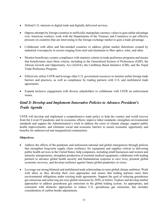- Defend U.S. interests in digital trade and digitally delivered services.
- Oppose attempts by foreign countries to artificially manipulate currency values to gain unfair advantage over American workers; work with the Departments of the Treasury and Commerce to put effective pressure on countries that are intervening in the foreign exchange market to gain a trade advantage.
- Collaborate with allies and like-minded countries to address global market distortions created by industrial overcapacity in sectors ranging from steel and aluminum to fiber optics, solar, and other.
- Monitor beneficiary country compliance with statutory criteria in trade preference programs and ensure that beneficiaries meet these criteria, including in the Generalized System of Preferences (GSP), the African Growth and Opportunity Act (AGOA), the Caribbean Basin Initiative (CBI), and the Nepal Trade Preference Program.
- Effectively utilize USTR and leverage other U.S. government resources to monitor unfair foreign trade barriers and practices, as well as compliance by trading partners with U.S. and multilateral trade agreements.
- Expand inclusive engagement with diverse stakeholders to collaborate with USTR on enforcement issues.

### *Goal 3: Develop and Implement Innovative Policies to Advance President's Trade Agenda*

USTR will develop and implement a comprehensive trade policy to help the country and world recover from the Covid-19 pandemic and its economic effects; improve labor standards; strengthen environmental standards and support the Administration's work to address the crisis of climate change; support public health improvements; and eliminate social and economic barriers to ensure economic opportunity and benefits for underserved and marginalized communities.

- Address the effects of the pandemic and unforeseen national and global emergencies through policies that strengthen long-term supply chain resiliency for equipment and supplies critical to delivering public health services in the United States; help companies, including small businesses and women and minority entrepreneurs, strengthen production of essential medical equipment; collaborate with trading partners to advance global health security and humanitarian response to save lives, promote global economic recovery, and develop resilience against future global pandemics or crises.
- Leverage our strong bilateral and multilateral trade relationships to raise global climate ambition. Work with allies as they develop their own approaches and ensure that trading partners meet their environmental obligations under existing trade agreements. Support the goal of reducing greenhouse gas emissions and achieving net-zero global emissions by 2050, or before. Explore and develop market approaches to address greenhouse gas emissions in the global trading system. As appropriate, and consistent with domestic approaches to reduce U.S. greenhouse gas emissions, this includes consideration of carbon border adjustments.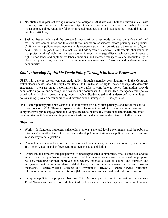- Negotiate and implement strong environmental obligations that also contribute to a sustainable climate pathway; promote sustainable stewardship of natural resources, such as sustainable fisheries management, and prevent unlawful environmental practices, such as illegal logging, illegal fishing, and wildlife trafficking.
- Seek to better understand the projected impact of proposed trade policies on underserved and marginalized communities and to ensure those impacts are considered before pursuing such policies. Craft new trade policies to promote equitable economic growth and contribute to the creation of goodpaying future U.S. jobs through the inclusion in trade agreements of strong, enforceable labor standards that protect workers' rights and increase economic security; engage allies to achieve commitments to fight forced labor and exploitative labor conditions, and increase transparency and accountability in global supply chains, and lead to the economic empowerment of women and underrepresented communities.

### *Goal 4: Develop Equitable Trade Policy Through Inclusive Processes*

USTR will develop worker-centered trade policy through extensive consultations with the Congress, stakeholders, and its trade Advisory Committees. USTR will also use digital means and expanded domestic engagement to ensure broad opportunities for the public to contribute to policy formulation, provide comments on policy, and access public hearings and documents. USTR will lead interagency trade policy coordination to obtain broad-ranging input, involve disadvantaged and underserved communities in policymaking, provide accountability, and develop sound, strategic U.S. trade policies.

USTR's transparency principles establish the foundation for a high transparency standard for the day-today operations of USTR. These transparency principles reflect the Administration's commitment to comprehensive public engagement, including outreach to historically overlooked and underrepresented communities, as it develops and implements a trade policy that advances the interests of all Americans.

- Work with Congress, interested stakeholders, unions, state and local governments, and the public to inform and strengthen the U.S. trade agenda, develop Administration trade policies and initiatives, and advance key trade legislation.
- Conduct outreach to underserved and disadvantaged communities, in policy development, negotiations, and implementation and enforcement of agreements and legislation.
- Ensure that the concerns and perspectives of underrepresented communities, small businesses, and the employment and purchasing power interests of low-income Americans are reflected in proposed policies, including through improved engagement, innovative data collection, and outreach and engagement with community-based stakeholders, such as minority-owned businesses, business incubators, Historically Black Colleges and Universities (HBCUs), Hispanic Serving Institutions (HSIs), other minority serving institutions (MSIs), and local and national civil rights organizations.
- Incorporate policies and proposals that foster Tribal Nations' participation in international trade; ensure Tribal Nations are timely informed about trade policies and actions that may have Tribal implications.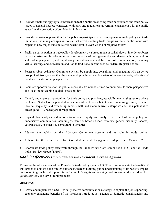- Provide timely and appropriate information to the public on ongoing trade negotiations and trade policy issues of general interest, consistent with laws and regulations governing engagement with the public as well as the protection of confidential information.
- Provide inclusive opportunities for the public to participate in the development of trade policy and trade initiatives, including changes in policy that affect existing trade programs; seek public input with respect to new major trade initiatives when feasible, even when not required by law.
- Facilitate participation in trade policy development by a broad range of stakeholders. In order to foster more inclusive and broader representation in terms of both geography and demographics, as well as stakeholder perspective, seek input using innovative and adaptable forms of communication, including virtual hearings and outreach, in addition to traditional means such as Federal Register notices.
- Foster a robust Advisory Committee system by appointing, consulting, and engaging with an active group of advisors; ensure that the membership includes a wide variety of expert interests, reflective of the diverse stakeholder perspectives.
- Facilitate opportunities for the public, especially from underserved communities, to share perspectives and ideas on developing equitable trade policy.
- Identify and explore opportunities for trade policy and practices, especially in emerging sectors where the United States has the potential to be competitive, to contribute towards increasing equity, reducing income inequality, and expanding micro, small, and medium-sized enterprises and their potential to create good U.S.-based jobs through trade.
- Expand data analysis and reports to measure equity and analyze the effect of trade policy on underserved communities, including assessments based on race, ethnicity, gender, disability, income, veteran status, or other key demographic variables.
- Educate the public on the Advisory Committee system and its role in trade policy.
- Adhere to the Guidelines for Consultation and Engagement adopted in October 2015.
- Coordinate trade policy effectively through the Trade Policy Staff Committee (TPSC) and the Trade Policy Review Group (TPRG).

### *Goal 5: Effectively Communicate the President's Trade Agenda*

To ensure the advancement of the President's trade policy agenda, USTR will communicate the benefits of this agenda to domestic and foreign audiences, thereby building public understanding of its positive impact on economic growth, and support for enforcing U.S. rights and opening markets around the world to U.S. goods, services, and agricultural products.

#### **Objectives:**

• Create and implement a USTR-wide, proactive communications strategy to explain the job-supporting, economy-enhancing benefits of the President's trade policy agenda to domestic constituencies and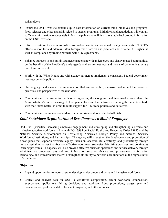stakeholders.

- Ensure the USTR website contains up-to-date information on current trade initiatives and programs. Press releases and other materials related to agency programs, initiatives, and negotiations will contain sufficient information to adequately inform the public and will link to available background information on the USTR website.
- Inform private sector and non-profit stakeholders, media, and state and local governments of USTR's efforts to monitor and address unfair foreign trade barriers and practices and enforce U.S. rights, as well as compliance by trading partners with U.S. agreements.
- Enhance outreach to and build sustained engagement with underserved and disadvantaged communities on the benefits of the President's trade agenda and ensure methods and means of communication are useful and accessible.
- Work with the White House and with agency partners to implement a consistent, Federal government message on trade policy.
- Use language and means of communication that are accessible, inclusive, and reflect the concerns, priorities, and perspectives of stakeholders.
- Communicate, in consultation with other agencies, the Congress, and interested stakeholders, the Administration's unified message to foreign countries and their citizens explaining the benefits of trade with the United States, in order to build support for U.S. trade policies and initiatives.
- Communicate success to stakeholders, including state and local elected officials.

### *Goal 6: Achieve Organizational Excellence as a Model Employer*

USTR will prioritize increasing employee engagement and developing and strengthening a diverse and inclusive adaptive workforce in line with EO 13985 on Racial Equity and Executive Order 13985 and the National Security Memorandum on Revitalizing America's Foreign Policy and National Security Workforce, Institutions, and Partnerships. The agency will strengthen the development and promotion of a workplace that supports diversity, equity, inclusion, accessibility, creativity, and productivity through human capital initiatives that focus on effective recruitment strategies, fair hiring practices, and continuous learning programs. The agency will also provide effective business operations and service delivery through administrative processes, physical and information security, finance and procurement, information technology, and infrastructure that will strengthen its ability to perform core functions at the highest level of excellence.

- Expand opportunities to recruit, retain, develop, and promote a diverse and inclusive workforce.
- Collect and analyze data on USTR's workforce composition, senior workforce composition, employment applications, hiring decisions and applicant flow, promotions, wages, pay and compensation, professional development programs, and attrition rates.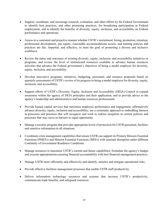- Support, coordinate, and encourage research, evaluation, and other efforts by the Federal Government to identify best practices, and other promising practices, for broadening participation in Federal employment, and to identify the benefits of diversity, equity, inclusion, and accessibility on Federal performance and operations.
- Assess in a consistent and proactive manner whether USTR's recruitment, hiring, promotion, retention, professional development, pay equity, reasonable accommodations access, and training policies and practices are fair, impartial, and effective, to meet the goal of promoting a diverse and inclusive workforce.
- Review the status and outcomes of existing diversity, equity, inclusion, and accessibility initiatives or programs, and review the level of institutional resources available to advance human resources activities that advance the Federal government's objectives of being a model employer for diversity, equity, inclusion, and accessibility.
- Develop innovative programs, initiatives, budgeting, personnel, and resource proposals based on quarterly assessments of USTR's review of its progress in being a model employer for diversity, equity, inclusion, and accessibility.
- Support efforts of USTR's Diversity, Equity, Inclusion and Accessibility (DEIA) Council to expand awareness within the agency of DEIA principles and their application, and to provide advice to the agency's leadership and administrative and human resources professionals.
- Provide human capital services that maximize employee performance and engagement, affirmatively advance diversity, equity, inclusion and accessibility; use a systematic approach to embedding fairness in processes and practices that will recognize and work to redress inequities in current policies and processes that may serve as barriers to equal opportunity.
- Manage a security program that provides appropriate levels of protection for USTR personnel, facilities and sensitive information in all situations.
- Coordinate crisis management capabilities that ensure USTR can support its Primary Mission Essential Functions (PMEFs) and Mission Essential Functions (MEFs) with minimal disruption under different Continuity of Government Readiness Conditions.
- Manage resources to maximize USTR's current and future capabilities; formulate the agency's budget and execute appropriations ensuring financial accountability with best financial management practices.
- Manage USTR more efficiently and effectively and identify, monitor and mitigate operational risks.
- Provide effective facilities management processes that enable USTR staff productivity.
- Deliver information technology resources and systems that increase USTR's productivity, communicate trade benefits, and safeguard resources.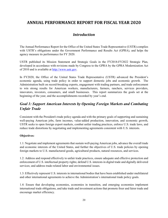### <span id="page-22-0"></span>**ANNUAL PERFORMANCE REPORT FOR FISCAL YEAR 2020**

### *Introduction*

<span id="page-22-1"></span>The Annual Performance Report for the Office of the United States Trade Representative (USTR) complies with USTR's obligations under the Government Performance and Results Act (GPRA), and helps the agency measure its performance for FY 2020.

USTR published its Mission Statement and Strategic Goals in the FY2018-FY2022 Strategic Plan, developed in accordance with revisions made by Congress to the GPRA by the GPRA Modernization Act of 2010 and is available at [http://www.ustr.gov.](http://www.ustr.gov/)

In FY2020, the Office of the United States Trade Representative (USTR) advanced the President's economic agenda, using trade policy in order to support domestic jobs and economic growth. The Administration built on record-breaking exports, engagement with trading partners, and trade enforcement to win strong results for American workers, manufacturers, farmers, ranchers, services providers, innovators, investors, consumers, and small businesses. This report summarizes the goals set at the beginning of the year, and the accomplishments recorded by year's end.

### *Goal 1: Support American Interests by Opening Foreign Markets and Combating Unfair Trade*

Consistent with the President's trade policy agenda and with the primary goals of supporting and sustaining well-paying American jobs, farm incomes, value-added production, innovation, and economic growth, USTR seeks to open foreign export markets, combat unfair trading practices, enforce U.S. trade laws, and reduce trade distortions by negotiating and implementing agreements consistent with U.S. interests.

#### **Objectives:**

1.1: Negotiate and implement agreements that sustain well-paying American jobs, advance the overall trade and economic interests of the United States, and further the objectives of U.S. trade policies by opening foreign markets to U.S. manufactured goods, agricultural products, natural resources, and services.

1.2: Address and respond effectively to unfair trade practices, ensure adequate and effective protection and enforcement of U.S. intellectual property rights; defend U.S. interests in digital trade and digitally delivered services; and address trade-related labor and environmental issues.

1.3: Effectively represent U.S. interests in international bodies that have been established under multilateral and other international agreements to achieve the Administration's international trade policy goals.

1.4: Ensure that developing economies, economies in transition, and emerging economies implement international trade obligations, and take trade and investment actions that promote freer and fairer trade and encourage market efficiency.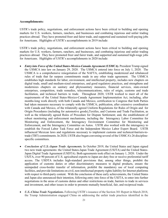#### **Accomplishments:**

USTR's trade policy, negotiations, and enforcement actions have been critical to building and opening markets for U.S. workers, farmers, ranchers, and businesses and combating injurious and unfair trading practices abroad. They have promoted freer and fairer trade, and supported and sustained well-paying jobs for Americans. Highlights of USTR's accomplishments in 2019 include:

<span id="page-23-0"></span>USTR's trade policy, negotiations, and enforcement actions have been critical to building and opening markets for U.S. workers, farmers, ranchers, and businesses, and combating injurious and unfair trading practices abroad. They have promoted freer and fairer trade, and supported and sustained high-wage jobs for Americans. Highlights of USTR's accomplishments in 2020 include:

- *Entry into Force of the United States-Mexico-Canada Agreement (USMCA).* President Trump signed the USMCA into law on January 29, 2020. The USMCA entered into force on July 1, 2020. The USMCA is a comprehensive renegotiation of the NAFTA, establishing modernized and rebalanced rules of trade that far surpass commitments made in any other trade agreement. The USMCA establishes high standards for labor, environment, and intellectual property, includes new chapters on digital trade, small and medium-sized enterprises, and good regulatory practices, and strengthens and modernizes chapters on sanitary and phytosanitary measures, financial services, state-owned enterprises, competition, trade remedies, telecommunications, rules of origin, customs and trade facilitation, and technical barriers to trade. Throughout 2020, USTR worked to meet all of the requirements of the United States-Mexico-Canada Agreement Implementation Act, including, after months-long work directly with both Canada and Mexico, certification to Congress that both Parties had taken measures necessary to comply with the USMCA; publication, after extensive coordination with Canada and Mexico, of the trilaterally agreed Uniform Regulations for Rules of Origin and for Origin Procedures (including for automotive goods),Textiles, and Customs and Trade Facilitation, as well as the trilaterally agreed Rules of Procedure for Dispute Settlement; and, the establishment of robust monitoring and enforcement mechanisms, including the Interagency Labor Committee for Monitoring and Enforcement, the Interagency Environment Committee for Monitoring and Enforcement, and the Interagency Committee on Autos. USTR also worked with the interagency to establish the Forced Labor Task Force and the Independent Mexico Labor Expert Board. USTR influenced Mexican laws and regulations necessary to implement customs and technical-barriers-totrade (TBT) commitments. In 2020, USTR also began convening several of the USMCA's 26 disciplinespecific committees.
- *Conclusion of U.S.-Japan Trade Agreements.* In October 2019, the United States and Japan signed two new trade agreements: the United States-Japan Trade Agreement (USJTA) and the United States-Japan Digital Trade Agreement (USDTA). Both agreements took effect on January 1, 2020. Under the USJTA, over 90 percent of U.S. agricultural exports to Japan are duty free or receive preferential tariff access. The USDTA includes high-standard provisions that, among other things, prohibit the application of customs duties or other discriminatory measures to digital products, ensure the unimpeded cross-border transfer of information, prohibit the mandatory use of local computing facilities, and provide limitations on civil, non-intellectual property rights liability for Internet platforms with respect to third-party content. With the conclusion of these early achievements, the United States and Japan also announced their intention, following entry into force of the USJTA, to enter into further negotiations in the areas of customs duties and other restrictions on trade, barriers to trade in services and investment, and other issues in order to promote mutually beneficial, fair, and reciprocal trade.
- *U.S.-China Trade Negotiations.* Following USTR's issuance of the Section 301 Report in March 2018, the Trump Administration engaged China on addressing the unfair trade practices identified in the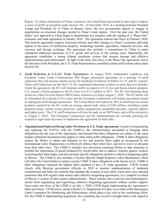Report. To obtain elimination of China's practices, the United States proceeded to take steps to impose a series of tariffs as permitted under Section 301. In December 2018, at a meeting between President Trump and President Xi of China in Buenos Aires, the two governments agreed to engage in negotiations on structural changes needed in China's trade regime. Over the past year, the United States' new approach to China began to demonstrate key progress with the signing of a "Phase One" economic and trade agreement in January 2020. The agreement entered into force in February 2020. This historic agreement requires structural reforms and other changes to China's economic and trade regime in the areas of intellectual property, technology transfer, agriculture, financial services, and currency and foreign exchange. The agreement also includes a commitment by China to make substantial additional purchases of U.S. goods and services in the coming years. Importantly, the agreement establishes a strong dispute resolution system that ensures prompt and effective implementation and enforcement. In light of the entry into force of the Phase One agreement, and at the direction of the President, the U.S. Trade Representative modified certain tariff actions taken under Section 301.

- *Tariff Reduction in U.S.-EU Trade Negotiations***.** In August 2020, Ambassador Lighthizer and European Union Trade Commissioner Phil Hogan announced agreement on a package of tariff reductions that will increase market access for hundreds of millions of dollars in U.S. and EU exports. These tariff reductions are the first U.S.-EU negotiated reductions in duties in more than two decades. Under the agreement, the EU will eliminate tariffs on imports of U.S. live and frozen lobster products. U.S. exports of these products to the EU were over \$111 million in 2017. The EU will eliminate these tariffs on a Most Favored Nation (MFN) basis, retroactive to begin August 1, 2020. The EU tariffs will be eliminated for a period of five years and the European Commission will initiate procedures aimed at making the tariff changes permanent. The United States will reduce by 50% its tariff rates on certain products exported by the EU worth an average annual trade value of \$160 million, including certain prepared meals, certain crystal glassware, surface preparations, propellant powders, cigarette lighters and lighter parts. The U.S. tariff reductions will also be made on an MFN basis, and will be retroactive to August 1, 2020. The European Commission and the Administration are currently pursuing the respective legal steps necessary to implement the agreement on both sides.
- *Negotiated and Enforced Strong Labor Provisions in U.S. Trade Agreements.* As part of renegotiating and replacing the NAFTA with the USMCA, the Administration succeeded in bringing labor obligations into the core of the Agreement, and ensured that labor obligations are subject to the same dispute settlement mechanism that applies to other enforceable obligations. USMCA labor obligations require the Parties to adopt and maintain in law and practice labor rights as recognized by the International Labor Organization, to effectively enforce their labor laws, and not to waive or derogate from their labor laws. The USMCA includes new provisions requiring Parties to take measures to prohibit the importation of goods produced by forced labor and to address violence against workers exercising their labor rights, and also includes specific obligations related to collective bargaining rights in Mexico. The USMCA also includes a Facility-Specific Rapid Response Labor Mechanism, which will allow the United States to enforce certain USMCA labor obligations at the factory level. USMCA labor obligations represent the highest labor standard of any U.S. trade agreement. USTR worked closely with Mexican government officials in 2020 to monitor implementation of landmark constitutional and labor law reforms that mandate the creation of new labor courts and a new national institution that will register trade unions and collective bargaining agreements, in a complete overhaul of Mexico's system of labor justice administration. These reforms aim to prevent non-representative unions from negotiating and registering collective bargaining agreements without worker support. Upon entry into force of the USMCA on July 1, 2020, USTR began implementing the Agreement's labor provisions. USTR serves, along with the U.S. Department of Labor, as co-chair of the Interagency Labor Committee for Monitoring and Enforcement, which plays a key role in this monitoring effort. Per the USMCA implementing legislation, the committee has several oversight duties with regard to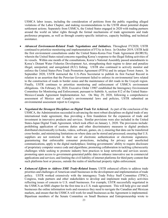USMCA labor issues, including the consideration of petitions from the public regarding alleged violations of the Labor Chapter, and making recommendations to the USTR about potential dispute settlement actions. Separately from USMCA, the United States engaged in 2020 with trading partners around the world on labor rights through the formal mechanisms of trade agreements and trade preference programs, as well as through country-specific initiatives, capacity building, and technical assistance.

- *Advanced Environment-Related Trade Negotiations and Initiatives.* Throughout FY2020, USTR continued to prioritize monitoring and implementation of FTAs in force. In October 2019, USTR held the first environment consultations under the United States-Korea Free Trade Agreement (KORUS), wherein the United States raised concerns regarding Korea's response to the illegal fishing activities of its vessels. Within one month of the consultations, Korea's National Assembly passed amendments to Korea's Distant Water Fisheries Development Act, strengthening their regime to deter and penalize illegal, unreported, and unregulated (IUU) fishing. USTR also continued to actively monitor and enforce the United States-Peru Trade Promotion Agreement (PTPA) and its unique Forest Annex. In September 2020, USTR instructed the U.S.-Peru Secretariat to publish its first Factual Record in relation to an assertion that the Peruvian Government failed to enforce its environmental laws related to the construction of roads in border zones and the maintenance of dirt roads in the Ucayali region. Finally, USTR continues to prioritize monitoring and enforcement of USMCA environment obligations. On February 28, 2020, Executive Order 13907 established the Interagency Environment Committee for Monitoring and Enforcement, pursuant to Subtitle A, section 812 of the United States-Mexico-Canada Agreement Implementation Act. On May 29, 2020, following a comprehensive assessment of Mexico and Canada's environmental laws and policies, USTR submitted an environmental assessment report to Congress.
- *Negotiated the Strongest Disciplines on Digital Trade Yet Achieved***.** As part of the conclusion of the USMCA, the Administration succeeded in advancing the most robust disciplines on digital trade of any international trade agreement, thus providing a firm foundation for the expansion of trade and investment in innovative products and services. Similar provisions were also included in the United States-Japan Digital Trade Agreement, which took effect on January 1, 2020. The provisions include: prohibiting application of customs duties and other discriminatory measures to digital products distributed electronically (e-books, videos, software, games, etc.); ensuring that data can be transferred cross-border, and minimizing limitations on where data can be stored and processed; ensuring that U.S. suppliers are not restricted in their use of electronic authentication or electronic signatures; guaranteeing that enforceable consumer protections, including for privacy and unsolicited communications, apply to the digital marketplace; limiting governments' ability to require disclosure of proprietary computer source code and algorithms; promoting collaboration in tackling cybersecurity challenges while seeking to promote industry best practices to keep networks and services secure; promoting open access to government-generated public data to enhance innovative use in commercial applications and services; and limiting the civil liability of internet platforms for third party content that such platforms host or process, outside the realm of intellectual property rights enforcement.
- *Enhanced Efforts to Address SME Trade-Related Issues.* USTR enhanced efforts to address trade priorities and challenges of American small businesses in the development and implementation of trade policy. USTR worked extensively with the interagency Trade Policy Staff Committee (TPSC), Congress, trade partners and other stakeholders to develop and implement trade policy activities reflecting issues of concern to U.S. small businesses. For example, USTR successfully negotiated in the USMCA an SME chapter for the first time in a U.S. trade agreement. This will help give our small businesses the online information tools and resources they need to navigate the Canadian and Mexican markets, and ensure that the USMCA will work for small businesses as the Agreement is implemented. Bipartisan members of the Senate Committee on Small Business and Entrepreneurship wrote to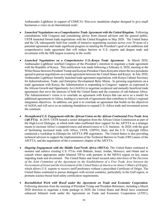Ambassador Lighthizer in support of USMCA's 'first-ever standalone chapter designed to give small businesses a voice on an international scale'.

- *Launched Negotiations on a Comprehensive Trade Agreement with the United Kingdom.* Following consultations with Congress and considering advice from cleared advisors and the general public, USTR launched formal trade negotiations with the United Kingdom in May 2020. The United States and the UK subsequently held four rounds of intensive negotiating sessions across over 30 areas of a potential agreement and made significant progress in meeting the President's goal of an ambitious and comprehensive trade agreement that will reduce barriers to U.S. exports and deepen trade and investment with the fifth largest economy in the world.
- *Launched Negotiations on a Comprehensive U.S.-Kenya Trade Agreement*. In March 2020, Ambassador Lighthizer notified Congress of the President's intention to negotiate a trade agreement with the Republic of Kenya. This notification was made following a February 6, 2020, meeting at the White House between President Trump and Kenyan President Uhuru Kenyatta where the two presidents agreed to pursue negotiations on a trade agreement between the United States and Kenya. In July 2020, Ambassador Lighthizer formally launched trade agreement negotiations with Kenya Cabinet Secretary for Industrialization, Trade, and Enterprise Development Betty Maina. In pursuing negotiations on a trade agreement with Kenya, the Administration is responding to Congress' support, as expressed in the African Growth and Opportunity Act (AGOA) to negotiate reciprocal and mutually beneficial trade agreements that serve the interests of both the United States and the countries of sub-Saharan Africa. The Administration's vision is to conclude an agreement with Kenya that can serve as a model for additional agreements in Africa, leading to a network of agreements that contribute to Africa's regional integration objectives. In addition, our goal is to conclude an agreement that builds on the objectives of AGOA and will serve as an enduring foundation to expand U.S.-Africa trade and investment across the continent.
- *Strengthened U.S. Engagement with the African Union on the African Continental Free Trade Area (AfCFTA).* In 2019, USTR hosted a senior delegation from the African Union Commission as part of the High-Level Dialogue, in which both sides reaffirmed their support for the AfCFTA as a strategic means to increase Africa's competitiveness and attractiveness to U.S. business. In 2020, with the goal of facilitating increased trade with Africa, USTR, USPTO, State, and the U.S. Copyright Office conducted a workshop in Ethiopia for AfCFTA IPR negotiators. The United States is also providing technical advisors to support the implementation of the Technical Barriers to Trade (TBT) annex of the AfCFTA, and the negotiation of the e-commerce chapter of the AfCFTA.
- Ongoing Engagement with the Middle East/North Africa (MENA). The United States continued to monitor and enforce existing U.S. FTAs with Bahrain, Israel, Jordan, Morocco, and Oman and to consult where appropriate under bilateral TIFAs with partners in the MENA region on key issues impeding trade and investment. The United States and Israel secured entry-into-force of the *Decision of the Joint Committee of the Agreement on the Establishment of a Free Trade Area between the Government of Israel and the Government of the United States of America on Annex 3 (Rules of Origin),*  which allows U.S. exports to receive tariff preference without a prescribed Certificate of Origin. The United States continued to pursue dialogues with several countries, particularly in the Gulf region, to promote science-based food safety certification requirements.
- *Reestablished Work with Brazil under the Agreement on Trade and Economic Cooperation.*  Following direction from the meeting of President Trump and President Bolsonaro, including a March 2020 direction to negotiate a trade package in 2020, the United States and Brazil have continued enhanced bilateral work under the Agreement on Trade and Economic Cooperation (ATEC),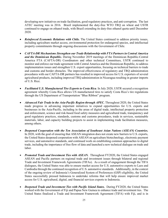developing new initiatives on trade facilitation, good regulatory practices, and anti-corruption. The last ATEC meeting was in 2016. Brazil implemented the duty-free WTO TRQ on wheat and USTR continued to engage on ethanol trade, with Brazil extending its duty-free ethanol quota until December 2020.

- *Reinforced Economic Relations with Chile.* The United States continued to address priority issues, including agriculture market access, environmental protection for endangered species, and intellectual property commitments through ongoing discussions with the Government of Chile.
- *CAFTA-DR Mechanisms Strengthen our Trade Relationship with FTA Partners in Central America and the Dominican Republic.* During November 2019 meetings of the Dominican Republic-Central America FTA (CAFTA-DR) Coordinators and other technical Committees, USTR continued to monitor and enforce our trade agreement with Central America and the Dominican Republic, to address implementation issues and strengthen U.S. export opportunities, focusing on technical barriers to trade and customs and border obstacles. The improved effectiveness of regulatory and TRQ administration procedures with our CAFTA-DR partners has resulted in improved access for U.S. exporters of several agricultural products, including improved TRQ administration in Nicaragua resulting in greater imports of U.S. Rice.
- *Facilitated U.S. Manufactured Tire Exports to Costa Rica*. In July 2020, USTR secured a recognition agreement whereby Costa Rica allows US manufactured tires to satisfy Costa Rica's tire regulations through the US Department of Transportation "Blue Ribbon" program.
- *Advanced Fair Trade in the Asia-Pacific Region through APEC.* Throughout 2020, the United States made progress in advancing important initiatives to expand opportunities for U.S. exports and businesses in the Asia-Pacific, including in the areas of digital trade, intellectual property protection and enforcement, science and risk-based food safety measures and agricultural trade, transparency and good regulatory practices, standards, customs and customs procedures, trade in services, sustainable materials, labor, and capacity building projects to assist in implementing trade facilitation measures, among others.
- *Deepened Cooperation with the Ten Association of Southeast Asian Nations (ASEAN) Countries.* In 2020, with the goal of ensuring that ASEAN integration does not create new barriers to U.S. exports, the United States deepened cooperation with ASEAN on agriculture biotechnology, electronic payment services, and automotive standards, and continued work on establishing common approaches to digital trade, including the importance of free flow of data and launched a new technical dialogue on trade and labor.
- *Promoted Trade and Investment Ties with ASEAN*. Throughout FY2020, the United States engaged ASEAN and Pacific partners on regional trade and investment issues through bilateral and regional Trade and Investment Framework Agreements (TIFAs). As a result of engagement through the TIFA dialogues, the United States was able to ensure market access for U.S. automotive exports to Laos and Cambodia through the continued recognition of U.S. automotive standards. Additionally, in the context of the ongoing review of Indonesia's Generalized System of Preferences (GSP) eligibility, the United States successfully pressed Indonesia to undertake reforms that will help ensure improved market access for U.S. agricultural, digital, and financial services exports to Indonesia.
- *Deepened Trade and Investment Ties with Pacific Island States.* During FY2020, the United States worked with the Government of Fiji and Papua New Guinea to enhance trade and investment ties. The United States finalized a Trade and Investment Framework Agreement (TIFA) with Fiji, and is in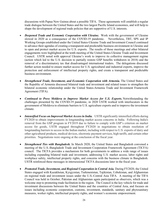discussions with Papua New Guinea about a possible TIFA. These agreements will establish a regular trade dialogue between the United States and the two largest Pacific Island economies, and will help to shape the development of regional trade policies that are supportive of U.S. interests.

- *[Deepened Trade and Economic Cooperation with Ukraine.](https://ustr.gov/about-us/policy-offices/press-office/press-releases/2015/may/united-states-and-ukraine-hold-economic)* Work with the government of Ukraine slowed in 2020 as a consequence of the COVID-19 pandemic. Nevertheless, TBT, SPS and IP Working Groups established under the United States-Ukraine Trade and Investment Council continued to advance their agendas of creating a transparent and predictable business environment in Ukraine and to open and protect market access for U.S. exports. The results of those meetings and other bilateral engagements were highlighted at the tenth meeting of the United States-Ukraine Trade and Investment Council. USTR noted with approval Ukraine's work to improve its collective management regime (action which led to the U.S. decision to partially restore GSP benefits withdrawn in 2018) and the removal of a discriminatory tax that disadvantaged international traders. The delegations discussed further action needed to ensure market access for U.S. agricultural and industrial exports, improve the protection and enforcement of intellectual property rights, and create a transparent and predictable business environment.
- **[Strengthened Trade, Investment, and Economic Cooperation with Armenia.](https://ustr.gov/about-us/policy-offices/press-office/press-releases/2015/may/united-states-and-armenia-sign-trade)** The United States and the Republic of Armenia discussed bilateral trade and investment and related issues to strengthen the bilateral economic relationship under the United States-Armenia Trade and Investment Framework Agreement (TIFA).
- *Continued to Press Moldova to Improve Market Access for U.S. Exports.* Notwithstanding the challenges presented by the COVID-19 pandemic, in 2020 USTR worked with interlocutors in the government of Moldova to eliminate barriers to U.S. agriculture exports and to improve the investment climate.
- *Intensified Focus on Improved Market Access in India.* USTR significantly intensified efforts during FY2020 to obtain improvements in longstanding market access concerns in India. Following India's removal from the GSP program in FY2019 due to failure to comply with GSP's criterion on market access for goods, USTR engaged throughout FY2020 in negotiations to obtain resolution of longstanding barriers to access in the Indian market, including with respect to U.S. exports of dairy and other agricultural products, medical devices, electronic payment services, high tariffs, and certain other priorities. Negotiations were ongoing at the conclusion of the fiscal year.
- *[Strengthened Ties with Bangladesh.](https://ustr.gov/about-us/policy-offices/press-office/press-releases/2015/november/readout-second-us-bangladesh-trade)* In March 2020, the United States and Bangladesh convened a meeting of the U.S.-Bangladesh Trade and Investment Cooperation Framework Agreement (TICFA) council. The TICFA provides a mechanism for both governments to address a wide range of issues including expanding bilateral trade and investment, addressing U.S. market access, labor rights and workplace safety, intellectual property rights, and concerns with the business climate in Bangladesh. USTR reinforced these messages in intersessional TICFA discussions later in the fiscal year.
- *Promoted Trade, Investment, and Regional Cooperation in Central Asia.* During FY2020, the United States engaged with Kazakhstan, Kyrgyzstan, Turkmenistan, Tajikistan, Uzbekistan, and Afghanistan on regional trade and investment issues under the U.S.-Central Asia TIFA. A meeting of the TIFA Council was held in October; Pakistan and Afghanistan again participated as observers, which was a welcome step to promoting trade facilitation in the region. The Council is the key vehicle for trade and investment discussions between the United States and the countries of Central Asia, and focuses on issues including economic cooperation, customs, investment, standards, sanitary and phytosanitary measures, worker rights, intellectual property rights, and women's economic empowerment.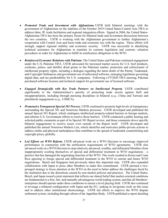- *Promoted Trade and Investment with Afghanistan.* USTR held bilateral meetings with the government of Afghanistan on the sidelines of the October 2019 United States-Central Asia TIFA to address labor, IP, trade facilitation and regional integration efforts. Signed in 2004, the United States-Afghanistan TIFA has been the primary forum for bilateral trade and investment discussions between the two countries. USTR is working with the Afghanistan government to further Afghanistan's cooperation with Central Asia and boost trade and economic ties with the region. These efforts will strongly support regional stability and economic security. USTR was successful in identifying technical assistance for Afghanistan to translate its customs legislation and customs valuation procedures in order for Afghanistan to fulfill its notification obligations to the WTO.
- *[Reinforced Economic Relations with Pakistan.](https://ustr.gov/about-us/policy-offices/press-office/press-releases/2015/march/joint-statement-inter-sessional)* The United States and Pakistan continued engagement under the U.S.-Pakistan TIFA. USTR advocated for increased market access for U.S. beef products, soybeans, pulses, and distiller dried grains to the Pakistani market, protection and enforcement of intellectual property rights, including a dialogue regarding the latest drafts of the Patent, Trademark, and Copyright Ordinances and government use of unlicensed software, emerging legislation governing digital data, and tax predictability for U.S. companies. Following a FY2020 TIFA meeting, Pakistan purchased software licenses and technical support for government use of licensed software.
- *Engaged Strategically with Key Trade Partners on Intellectual Property.* USTR contributed significantly to the Administration's priority of protecting trade secrets against theft and misappropriation, including through pursuing disciplines in bilateral (*e.g.*, China and Taiwan) and plurilateral engagements (*e.g*., USMCA).
- *Promoted a Transparent Special 301 Process.* USTR continued to promote high levels of transparency surrounding the Special 301 and Notorious Markets processes. USTR developed and published the annual Special 301 Report, which catalogues intellectual property-related barriers in foreign markets, and informs U.S. Government efforts to resolve those barriers. USTR conducted a public hearing and solicited public comments as part of its Special 301 Report review, and those comments drove specific bilateral engagements to resolve issues even outside of the Report itself. USTR developed and published the annual Notorious Markets List, which identifies and motivates public-private actions to address online and physical marketplaces that contribute to the spread of trademark counterfeiting and copyright piracy globally.
- *Led Efforts on WTO Reform.* USTR advanced work on a WTO Decision to encourage improved performance in connection with the notification requirements of WTO agreements. USTR also advanced work on a WTO Decision to stop relatively advanced, wealthy, and influential Members from inappropriately availing themselves of special and differential treatment in WTO negotiations - a practice that has damaged the negotiating function of the WTO. This work resulted in Korea and Costa Rica agreeing to forego special and differential treatment in the WTO in current and future WTO negotiations. Brazil and Singapore had previously taken this important step. USTR also expanded collaboration with Japan to press other Members to make this commitment. USTR pursued a twopronged strategy to focus attention at the WTO on the need to better address the challenges faced by the institution due to the distortions caused by non-market policies and practices. The United States, Brazil, and Japan issued a joint statement that reflects our shared belief that market-oriented conditions are fundamental to a free, fair, and mutually advantageous world trading system, and that all Members' enterprises should operate under these conditions to ensure a level playing field. USTR also continued to leverage a trilateral configuration with Japan and the EU, seeking to invigorate work on this issue and to address other institutional shortcomings. USTR led efforts to improve the WTO dispute settlement system, including through reform of the Appellate Body. USTR published a report detailing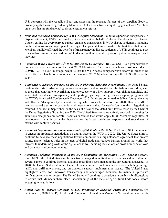U.S. concerns with the Appellate Body and assessing the repeated failures of the Appellate Body to properly apply the rules agreed to by Members. USTR also actively sought engagement with Members on issues that are fundamental to dispute settlement reform.

- *Promoted Increased Transparency in WTO Dispute Settlement.* To build support for transparency in dispute settlement, USTR delivered a joint statement on behalf of eleven Members in the General Council calling for every party to support enhanced transparency in WTO dispute settlement, including public submissions and open panel meetings. The joint statement marked the first time that certain Members publicly affirmed the benefits of transparency in dispute settlement. USTR continues to post to its website submissions made in WTO dispute settlement and to promote public viewing of panel meetings.
- *Advanced Work Toward the 12th WTO Ministerial Conference (MC12)*. USTR laid groundwork to prepare realistic outcomes for the next WTO Ministerial Conference, which was postponed due to COVID-19. The U.S. message, which is that the WTO needs comprehensive reform in order to be more effective, has become more accepted amongst WTO Members as a result of U.S. efforts at the WTO.
- *[Continued to Advance Progress on the WTO Fisheries Subsidies Negotiations.](https://ustr.gov/trade-agreements/other-initiatives/environmental-goods-agreement)* The United States continued efforts to advance negotiations on an agreement to prohibit harmful fisheries subsidies, such as those that contribute to overfishing and overcapacity or which support illegal fishing activities, and advocated for enhanced transparency and reporting regarding existing fisheries support programs. At the WTO's Ministerial Conference in December 2017, Ministers committed to deliver "comprehensive and effective" disciplines by their next meeting, which was scheduled for June 2020. However, MC12 was postponed due to the pandemic, and negotiations stalled for nearly four months. Negotiations resumed in earnest in September, on the basis of a new consolidated draft text released by the Chair of the Rules Negotiating Group in June 2020. The United States remains actively engaged in pressing for ambitious disciplines on harmful fisheries subsidies that would apply to all Members regardless of development status, in particular those that are the largest producers, exporters, and subsidizers of marine wild capture fisheries.
- *Advanced Negotiations on E-commerce and Digital Trade at the WTO.* The United States continued to engage in productive negotiations on digital trade at the WTO in 2020. The United States aims to continue to advance these negotiations towards an ambitious, high-standard agreement that creates strong, market-oriented rules in the area of digital trade and reduces barriers around the world that threaten to undermine growth of the digital economy, including restrictions on cross-border data flows and data localization requirements.
- *Advanced Technical Discussions in the WTO Committee on Agriculture (COA) Special Session***.** Since MC11, the United States has been actively engaged in multilateral discussions and has submitted several papers to continue informal dialogue regarding issues impacting the agricultural landscape. In 2020, the United States submitted technical papers on tariff implementation issues including on high tariffs and tariff rate quotas, and on domestic support implementation issues. The United States highlighted areas for improved transparency and encouraged Members to maintain up-to-date notifications on market access. The United States will continue to contribute its analysis for discussions to ensure that Members share clear understandings of the state of agricultural trade today before engaging in negotiations.
- *Action Plan to Address Concerns of U.S. Producers of Seasonal Fruits and Vegetables.* On September 1, 2020, USTR, USDA, and Commerce released their *Report on Seasonal and Perishable*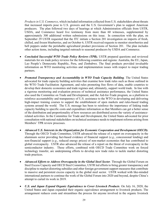*Products in U.S. Commerce*, which included information collected from U.S. stakeholders about threats that increased imports pose to U.S. growers and the U.S. Government's plan to support American producers. The plan followed two days of hearings at which Administration officials from USTR, USDA, and Commerce heard live testimony from more than 60 witnesses, supplemented by approximately 300 additional written submissions on this issue. In connection with the plan, on September 29 USTR requested that the ITC initiate a Section 201 investigation on imports of fresh, chilled, and frozen blueberries, and on October 6, USTR received requests to monitor strawberries and bell peppers under the perishable agricultural product provisions of Section 201. The plan includes other action items, including targeted outreach to seasonal producers by USDA and Commerce.

- *Concluded Successful WTO Trade Policy Reviews (TPR).* USTR prepared questions and reviewed materials for six trade policy reviews for the following countries and regions: Australia, the EU, Japan, Lao People's Democratic Republic, Peru, and Zimbabwe. The final products provided invaluable information on WTO monitoring activities and implementation issues with respect to major trading partners.
- *Promoted Transparency and Accountability in WTO Trade Capacity Building.* The United States advocated for trade capacity building activities that examine how trade rules such as those outlined in the WTO Trade Facilitation Agreement, and rules promoting free flows of data, enable countries to develop their domestic economies and trade regimes and, ultimately, support world trade. In line with a rigorous monitoring and evaluation process of technical assistance performance, the United States also used the Committee on Trade and Development, and the Aid-for-Trade program, as a platform to reinforce accountability and transparency of U.S. assistance to the WTO in developing and delivering high-impact training courses to support the establishment of open markets and rules-based trading systems around the world. The U.S. message has been to reinforce the importance of linking trade capacity building to specific costs and expenditure information so that Members can get a better sense of the distribution and proportionality of how resources are distributed across the variety of assistancerelated activities. In the Committee for Trade and Development, the United States advocated for prior consultation with national stakeholders on technical assistance needs to implement reforms arising from Members' TPR review processes.
- *Advanced U.S. Interests in the Organization for Economic Cooperation and Development (OECD).* Through the OECD Trade Committee, USTR advanced the release of a report on overcapacity in the aluminum sector providing fact-based evidence of financial support (*e.g.*, concessional lending) and non-financial support (*e.g.*, reduced energy prices) of non-market economies that has contributed to global overcapacity. USTR also advanced the release of a report on the threat of overcapacity in the semiconductor industry. These efforts, combined with OECD Trade Committee work on forced technology transfer, are underpinning efforts to develop new trade rules to tackle market distorting trade practices.
- *Advanced Efforts to Address Overcapacity in the Global Steel Sector*. Through the Global Forum on Steel Excess Capacity and OECD Steel Committee, USTR led efforts to bring greater transparency and discipline to market-distorting subsidies and other foreign government support measures that contribute to massive and persistent excess capacity in the global steel sector. USTR worked with like-minded international partners to continue the work of the Global Forum into 2020 and beyond, despite China's attempt to curtail its work in 2019.
- *U.S. and Japan Expand Organic Equivalence to Cover Livestock Products.* On July 16, 2020, the United States and Japan expanded their organic equivalence arrangement to livestock products. The arrangement reduces costs and streamlines the process for anyone involved in the organic livestock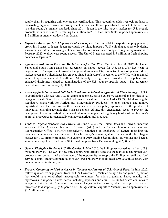supply chain by requiring only one organic certification. This recognition adds livestock products to the existing organic equivalence arrangement, which has allowed plant-based products to be certified to either country's organic standards since 2014. Japan is the third largest market for U.S. organic products, with exports in 2019 totaling \$53 million. In 2019, the United States imported approximately \$12 million in organic products from Japan.

- *Expanded Access for U.S. Chipping Potatoes to Japan.* The United States exports chipping potatoes, grown in 16 states, to Japan. Japan previously permitted imports of U.S. chipping potatoes only during a six-month window. Following technical work by both sides, Japan completed regulatory revisions in February 2020 to allow year-round access. The United States exported \$15 million in fresh chipping potatoes to Japan in 2019.
- *Agreement with South Korea on Market Access for U.S. Rice.* On December 30, 2019, the United States and South Korea signed an agreement on market access for U.S. rice, after five years of negotiations. The agreement provides the greatest volume – 132,304 metric tons – of guaranteed rice market access the United States has enjoyed since South Korea's accession to the WTO, with an annual value of approximately \$110 million. Additionally, the agreement provides U.S. suppliers with enhanced disciplines related to administration of the U.S. country specific quota. The agreement entered into force on January 1, 2020.
- *Advocacy for Science-Based Policies in South Korea Related to Agricultural Biotechnology***.** USTR, in coordination with relevant U.S. government agencies, has led extensive technical and political level engagement with South Korea in 2020, following the call in Executive Order 13874, "Modernizing the Regulatory Framework for Agricultural Biotechnology Products," to open markets and remove unjustified trade barriers. As South Korea considers its own policy approaches to the products of innovative, emerging technologies, such as genome editing, this engagement seeks to prevent the emergence of new unjustified barriers and address the unjustified regulatory burden of South Korea's approval procedures for genetically engineered agricultural products.
- *Trade in Organic Products with Taiwan*. On June 4, 2020, the United States and Taiwan, under the auspices of the American Institute of Taiwan (AIT) and the Taiwan Economic and Cultural Representative Office (TECRO) respectively, completed an Exchange of Letters regarding the completed equivalence determinations of each country's organic system. Taiwan is the fifth largest market for U.S. organic products, with exports in 2019 totaling \$23 million. Taiwan has not been as significant a supplier to the United States, with imports from Taiwan totaling \$82,000 in 2019.
- *Opened Philippine Market to U.S. Blueberries.* In May 2020, the Philippines opened its market to U.S. fresh blueberries. The U.S. is now only country with official access to the market, meaning that U.S. producers are poised to take advantage of the opportunity to supply the Philippine retail and food service sectors. Traders estimate sales of U.S. fresh blueberries could reach \$500,000 this season, with greater potential in future years.
- *Ensured Continuity of Market Access in Vietnam for Imports of U.S. Animal Feed.* In June 2020, following intensive engagement from the U.S. Government, Vietnam delayed by one year a regulation that would have established unacceptable tolerances for micro-organisms, heavy metals, and mycotoxins in imported animal feeds, including soybeans and corn. The United States continues to engage technically with Vietnam to influence changes to the measure, which as originally drafted, threatened to disrupt roughly 30 percent of U.S. agricultural exports to Vietnam, worth approximately \$1.2 billion annually.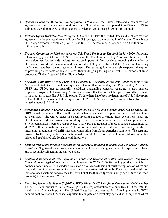- *Opened Vietnamese Market to U.S. Sorghum.* In May 2020, the United States and Vietnam reached agreement on the phytosanitary conditions for U.S. sorghum to be imported into Vietnam. USDA estimates the value of U.S. sorghum exports to Vietnam could reach \$120 million annually.
- *Vietnam Opens Market to U.S. Oranges.* On October 1, 2019, the United States and Vietnam reached agreement on the phytosanitary conditions for U.S. oranges to be imported into Vietnam. The value of U.S. orange exports to Vietnam prior to its halting U.S. access in 2016 ranged from \$3 million to \$10 million annually.
- *Ensured Continuity of Market Access for U.S. Fresh Produce to Thailand***.** In July 2020, following intensive engagement from the U.S. Government, the Thai Food and Drug Administration revised its new guidelines for pesticide residue testing on imports of fresh produce, reducing the number of chemicals it would test for in commodities considered "high risk" from 134 to 18, and implementing random testing rather than testing every shipment. The revised guidelines also give exporters the option of providing a certificate of analysis rather than undergoing testing on arrival. U.S. exports of fresh produce to Thailand reached \$49 million in 2019.
- *Ensuring Continuity of U.S. Fresh Fruit Exports to Australia.* At the April 2020 meeting of the Australia-United States Free Trade Agreement Committee on Sanitary and Phytosanitary Measures, USTR and USDA pressed Australia to address outstanding concerns regarding its new onshore inspection program. In the meeting, Australia confirmed that California table grapes would be included in the program to expedite U.S. fruit exports. To date there have been no detentions of U.S. fruit exports in the 2020 U.S. harvest and shipping season. In 2019, U.S. exports to Australia of fresh fruit were valued at about \$100 million.
- *Persuaded Ecuador to Extend Tariff Exemptions on Wheat and Soybean meal.* On December 26, 2019, Ecuador announced that it will extend for five years tariff exemptions on imports of wheat and soybean meal. The United States had been pressing Ecuador to extend these exemptions under the U.S.-Ecuador Trade and Investment Working Group. Ecuador's bound tariffs for these products are 38.7 percent and 23.1 percent, respectively. U.S. exports to Ecuador of these products peaked in 2012, at \$257 million in soybean meal and \$60 million in wheat, but have declined in recent years due to uncertainty around applied tariff rates and competition from South American suppliers. The certainty provided by the five-year tariff exemptions will benefit U.S. exporters due to competitive commodity prices and established relationships with importers.
- *Secured Distinctive Product Recognition for Bourbon, Bourbon Whiskey, and Tennessee Whiskey in Bolivia*. Negotiated a reciprocal agreement with Bolivia to recognize these U.S. spirits in Bolivia, and to recognize Singani in the United States.
- *Continued Engagement with Ecuador on Trade and Investment Matters and Secured Important Concessions on Agriculture.* Ecuador implemented its WTO TRQs for poultry products, which had not been done since 2015. Ecuador also issued a five-year extension of tariff exemptions on wheat and soy, and committed to reforming its import licensing system. Additionally, Ecuador passed legislation that abolished customs service fees for over 6,000 tariff lines (predominantly agriculture and food products) in the summer of 2019.
- *Brazil Implements 20-Year + Unfulfilled WTO Wheat Tariff Rate Quota Concession***.** On November 12, 2019, Brazil published in its *Diario Oficial* the implementation of a duty-free TRQ for 750,000 metric tons of wheat imports. The United States has long pressed Brazil to implement its WTO commitment, to enable U.S. wheat exporters to compete on a level playing field with imports of wheat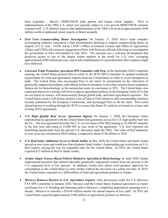from Argentina – Brazil's MERCOSUR trade partner and largest wheat supplier. Prior to implementation of the TRQ, U.S. wheat was typically subject to a ten percent MERCOSUR common external tariff. U.S. industry expects that implementation of the TRQ will result in approximately \$180 million worth of additional wheat exports to Brazil annually.

- *Peru Corn Countervailing Duties Investigation*. On January 17, 2020, Peru's trade remedies investigating authority announced a final determination declining to impose countervailing duties on imports of U.S. corn. USTR, led by USTR's Office of General Counsel and Office of Agricultural Affairs, and USDA led extensive engagement efforts with Peruvian officials following an investigation the government of Peru self-initiated in July 2018. The outcome was a welcome development that preserves access to one of the largest export markets in the world for U.S. corn, averaging approximately \$500 million per year, and avoids establishment of a precedent that other countries might have followed.
- *Convened Trade Promotion Agreement SPS Committee with Peru.* In the September 2020 Committee meeting, the United States pressed Peru to notify to the WTO SPS Committee its updated certificate requirements for food and agricultural imports from the United States in order to avoid disruptions to trade. The United States also encouraged Peru to not renew its moratorium on the cultivation of genetically engineered products, and offered technical assistance to develop a science-based regulatory framework for biotechnology as the moratorium nears its conclusion in 2021. The United States also expressed interest in working with Peru to oppose agricultural policies in the European Union (EU) that are not based on science, will unnecessarily disrupt global trade, and harm agricultural exporters. The United States noted it will closely monitor a list of Farm to Fork initiatives and corresponding timelines recently published by the European Commission, and encouraged Peru to do the same. Peru noted shared interest in working through the WTO to ensure that future EU policies are based on science and existing WTO agreements.
- *U.S. High Quality Beef Access Agreement Signed.* On January 1, 2020, the European Union implemented an agreement with the United States that guarantees access for U.S. high quality beef into the EU. The new agreement provides the U.S. its own share of the TRQ starting at 18,500 MT annually in the first year, and rising to 35,000 MT in year seven of the agreement. U.S. beef exporters are benefitting significantly from the special U.S. allocation under the TRQ. The value of beef shipments in year seven are estimated at \$420 million, compared to about \$150 million in 2018.
- *U.S. Beef Gains Additional Access to Saudi Arabia*. In May 2020, the United States and Saudi Arabia agreed on new terms and conditions that eliminate Saudi Arabia's longstanding age restrictions on U.S. beef exports, paving the way for expanded sales for the United States. In 2019, the United States exported \$15 million of beef to Saudi Arabia.
- *Jordan Adopts Science-Based Policies Related to Agricultural Biotechnology*. In April 2020, Jordan implemented measures that relaxed allowable genetically engineered content from one percent to the U.S. requested level of five percent. In addition, Jordan now allows food products approved for consumption in the United States to enter Jordan without the provision of a safety test date. In 2019, the United States exported over \$200 million of food and agricultural products to Jordan.
- *Morocco Removes Barriers to U.S. Agriculture Exports.* After discussions under the U.S.-Morocco FTA SPS Committee in January 2020, Morocco and the United States finalized agreement on export certificates for U.S. breeding and fattening cattle to Morocco, completing negotiations spanning over a decade. Morocco is currently a \$30-40 million market for annual imports of live cattle. In 2019, the United States exported approximately \$300 million of agricultural products to Morocco.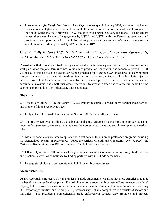• *Market Access for Pacific Northwest Wheat Exports to Kenya***.** In January 2020, Kenya and the United States signed a phytosanitary protocol that will allow for the import into Kenya of wheat produced in the United States Pacific Northwest (PNW) states of Washington, Oregon, and Idaho. The agreement comes after several years of engagement by USDA and USTR with the Kenyan government, and provides a new opportunity for U.S. PNW wheat producers to access Kenya's lucrative market for wheat imports, worth approximately \$420 million in 2019.

### *Goal 2: Fully Enforce U.S. Trade Laws, Monitor Compliance with Agreements, and Use All Available Tools to Hold Other Countries Accountable*

Consistent with the President's trade policy agenda and with the primary goals of supporting and sustaining well-paid American jobs, farm incomes, value-added production, innovation, and economic growth, USTR will use all available tools to fight unfair trading practices, fully enforce U.S. trade laws, closely monitor foreign countries' compliance with trade obligations and vigorously enforce U.S. rights. This objective aims to ensure that American workers, manufacturers, service providers, farmers, ranchers, innovators, consumers, investors, and small businesses receive fair treatment in trade and win the full benefit of the economic opportunities the United States has negotiated.

#### **Objectives:**

2.1: Effectively utilize USTR and other U.S. government resources to break down foreign trade barriers and promote fair and reciprocal trade.

2.2: Fully enforce U.S. trade laws, including Section 201, Section 301, and others.

2.3: Vigorously deploy all available tools, including dispute settlement mechanisms, to enforce U.S. rights under trade agreements, to ensure that they meet their potential to create and sustain well-paying American jobs.

2.4: Monitor beneficiary country compliance with statutory criteria in trade preference programs including the Generalized System of Preferences (GSP), the African Growth and Opportunity Act (AGOA), the Caribbean Basin Initiative (CBI), and the Nepal Trade Preference Program.

2.5: Effectively utilize USTR and other U.S. government resources to monitor unfair foreign trade barriers and practices, as well as compliance by trading partners with U.S. trade agreements.

2.6: Engage stakeholders to collaborate with USTR on enforcement issues.

#### **Accomplishments:**

<span id="page-35-0"></span>USTR vigorously enforces U.S. rights under our trade agreements, ensuring that more Americans realize the benefits promised by those pacts. The Administration's robust enforcement efforts are securing a level playing field for American workers, farmers, ranchers, manufacturers, and service providers, increasing U.S. export opportunities, and helping U.S. producers stay globally competitive in a variety of sectors and industries. The President's comprehensive trade enforcement strategy also promotes and protects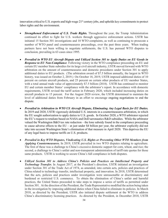innovation critical to U.S. exports and high-wage  $21<sup>st</sup>$  century jobs, and upholds key commitments to protect labor rights and the environment.

- *[Strengthened Enforcement of U.S. Trade Rights.](https://ustr.gov/issue-areas/enforcement)* Throughout the year, the Trump Administration continued its effort to fight for U.S. workers through aggressive enforcement actions. USTR has initiated 15 Section 301 investigations and 10 WTO complaints, as well as continuing to prosecute a number of WTO panel and countermeasures proceedings, over the past three years. When trading partners have not been willing to negotiate settlements, the U.S. has pursued WTO disputes to conclusion, prevailing in 63 cases since 1995.
- *Prevailed in WTO EU Aircraft Dispute and Utilized Section 301 to Apply Duties on EU Goods in Response to EU Non-Compliance.* Following victory in the WTO compliance proceeding on EU and certain EU member State subsidies for its large civil aircraft industry, USTR moved forward with WTO arbitration on the amount of countermeasures and domestic procedures under Section 301 to apply additional duties to EU products. (The arbitration award of  $\hat{S}7.5$  billion annually, the largest in WTO history, was issued on October 2, 2019.) On October 18, 2019, USTR imposed additional duties of 10 percent on certain aircraft products, and 25 percent on certain other products of EU member States, with a total annual trade value of approximately \$7.5 billion (2018). USTR has continued to monitor EU and certain member States' compliance with the arbitrator's report. In accordance with domestic requirements, USTR revised the tariff action in February 2020, which included increasing duties on aircraft products to 15 percent. For the August 2020 review, the USTR determined to maintain the level of additional duties from February in an effort to encourage ongoing negotiations to end the dispute.
- *Prevailed in Arbitration in WTO US Aircraft Dispute, Eliminating Any Legal Basis for EU Duties.*  In 2019 and 2020, USTR vigorously defended U.S. interests in a countermeasures arbitration, in which the EU sought authorization to apply duties to U.S. goods. In October 2020, a WTO arbitrator rejected the EU's request to retaliate based on NASA and DoD aeronautics R&D subsidies. While the arbitrator valued the Washington B&O tax rate reduction – the lone subsidy found in the compliance proceeding to cause adverse effects to the  $EU - at$  just under \$4 billion per year, the arbitrator explicitly did not take into account Washington State's elimination of that measure in April 2020. This deprives the EU of any legal basis to impose tariffs on U.S. products.
- *Prevailed in Key WTO Disputes, Vindicating U.S. Rights or Preventing Other WTO Members from Applying Countermeasures.* In 2019, USTR prevailed in two WTO disputes relating to agriculture. The first of these was a challenge to China's excessive domestic support for corn, wheat, and rice; the second, a challenge to China's unfair and non-transparent administration of tariff-rate quotas for those same products. USTR is working to secure China's full compliance in both disputes.
- *Utilized Section 301 to Address China's Policies and Practices on Intellectual Property and Technology Transfer.* In August 2017, at the President's direction, USTR initiated an investigation under Section 301 of the Trade Act of 1974, as amended, into certain acts, policies and practices of China related to technology transfer, intellectual property, and innovation. In 2018, USTR determined that the acts, policies and practices under investigation were unreasonable or discriminatory and burdened or restricted U.S. commerce. To obtain the elimination of China's unfair and harmful practices, the United States proceeded to take steps to impose a series of tariffs as permitted under Section 301. At the direction of the President, the Trade Representative modified the action being taken in the investigation by imposing additional duties when China failed to eliminate its policies. In March 2018, as directed by the President, USTR also initiated dispute settlement at the WTO to address China's discriminatory licensing practices. As directed by the President, in December 2018, USTR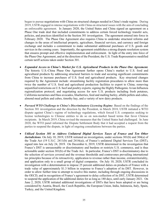began to pursue negotiations with China on structural changes needed in China's trade regime. During 2019, USTR engaged in intense negotiations with China on structural issues with the aim of concluding an enforceable agreement. In January 2020, the United States and China signed an agreement on a Phase One trade deal that included commitments to address certain forced technology transfer acts, policies, and practices identified in the Section 301 investigation. The agreement entered into force in February 2020. The Phase One Agreement also requires China to undertake structural reforms and changes in the areas of intellectual property, agriculture, financial services, and currency and foreign exchange and includes a commitment to make substantial additional purchases of U.S. goods and services in the coming years. Importantly, the agreement establishes a strong dispute resolution system that ensures prompt and effective implementation and enforcement. In light of the entry into force of the Phase One Agreement, and at the direction of the President, the U.S. Trade Representative modified certain tariff actions taken under Section 301.

- *Expanded Access to China's Market for U.S. Agricultural Products in the Phase One Agreement.* The historic U.S.-China Phase One Agreement further opens China's market to U.S. food and agricultural products by addressing structural barriers to trade and securing significant commitments from China to increase purchases of U.S. food and agricultural products. Key structural changes required by the Agreement include: streamlining facility registration procedures to allow more than twice the number of U.S. food and agricultural production facilities to export to China; removing unjustified restrictions on U.S. beef and poultry exports; signing the Highly Pathogenic Avian Influenza regionalization protocol; and negotiating access for new U.S. products including fresh potatoes, California nectarines and Hass avocados, blueberries, feed and malting barley, alfalfa pellets and cubes, almond meal pellets and cubes, timothy hay, and a variety of new dairy products.
- *Pursued WTO Challenge to China's Discriminatory Licensing Regime*. Based on the findings of the Section 301 investigation and the direction by the President, in March 2018, USTR initiated a WTO dispute against China's regime of technology regulations, which forced U.S. companies seeking to license technologies to Chinese entities to do so on non-market based terms that favor Chinese recipients. In March 2019, China revised the measures that the United States had challenged. In June 2020, the WTO panel informed the Dispute Settlement Body that it had accepted a request from the parties to suspend the dispute, in light of ongoing consultations between the parties.
- *Utilized Section 301 to Address Unilateral Digital Services Taxes of France and Ten Other Jurisdictions.* On July 10, 2019, USTR initiated an investigation, under sections 301(b) and 304(a) of the Trade Act (19 U.S.C. 2411(b) and 2414(a)), of France's unilateral Digital Services Tax (DST), signed into law on July 24, 2019. On December 6, 2019, USTR determined in the investigation that France's DST is unreasonable or discriminatory and burdens or restricts U.S. commerce, and is thus actionable under section 301(b) of the Trade Act. In particular, France's DST is discriminatory due to the selection of services covered and the revenue thresholds and contravenes prevailing international tax principles because of its retroactivity, application to revenue rather than income, extraterritoriality, and application only to a small group of digital companies. On July 10, 2020, USTR concluded its investigation with a determination to impose 25 percent additional duties on products of France with a trade value of approximately \$1.3 billion in response to France's adoption of its DST. However, in order to allow further time to attempt to resolve this matter, including through ongoing discussions in the OECD, and in recognition of France's agreement to delay collection of its DST, USTR determined to suspend the application of the additional duties for as long as 180 days, until early January 2021. On June 2, 2020, USTR initiated additional investigations of DSTs that have been adopted or are being considered by Austria, Brazil, the Czech Republic, the European Union, India, Indonesia, Italy, Spain, Turkey, and the United Kingdom.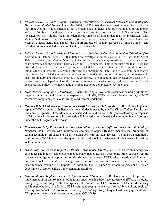- *Utilized Section 301 to Investigate Vietnam's Acts, Policies, or Practices Related to Use of Illegally Harvested or Traded Timber.* In October 2020, USTR initiated an investigation under Section 301 of the Trade Act of 1974, as amended, into Vietnam's acts, policies, and practices related to the import and use of timber that is illegally harvested or traded, and the resultant harm to U.S. commerce. The investigation will initially focus on Vietnamese imports of timber that may be inconsistent with Vietnam's domestic laws, the laws of exporting countries, or international rules, and evidence that Vietnam at least tacitly may support the import and use of illegally harvested or traded timber. The investigation is scheduled to be completed by October 2021.
- *Utilized Section 301 to Investigate Vietnam's Acts, Policies, or Practices Related to Valuation of Its Currency.* In October 2020, USTR initiated an investigation under Section 301 of the Trade Act of 1974, as amended, into Vietnam's acts, policies, and practices that may contribute to the undervaluation of its currency and the resultant harm caused to U.S. commerce. This is the first time that USTR has utilized Section 301 to examine trade issues related to currency valuation. The investigation will initially focus on whether Vietnam's interventions, through the State Bank of Vietnam, in exchange markets or other related actions that contribute to the undervaluation of its currency are unreasonable or discriminatory and burden or restrict U.S. commerce. In conducting this investigation, USTR will consult with the Department of the Treasury as to matters of currency valuation and Vietnam's exchange rate policy. The investigation is scheduled to be completed by October 2021.
- *Strengthened Compliance Monitoring Efforts.* Utilizing all available resources including additional regional, linguistic, and quantitative expertise at ICTIME, USTR enhanced its monitoring of WTO Members' compliance with WTO rulings and recommendations.
- *Pursued WTO Challenges to Unwarranted Tariff Increases on U.S. goods.* USTR continued to pursue separate WTO disputes to challenge additional duties imposed by the EU, China, Turkey, Russia, and India on U.S. goods. These Members imposed additional duties on U.S. goods ostensibly in response to U.S. actions in connection with the section 232 investigation of steel and aluminum, but had no right under the WTO agreement to do so.
- *Resisted Efforts by Russia to Force the Installation of Russian Software on Certain Technology*  **Products.** USTR worked with industry stakeholders to oppose Russia's mandate that producers of certain technology products pre-install Russian software on their devices. USTR also assembled a coalition of WTO Members to raise questions about the WTO consistency of this measure in various WTO committees.
- *Moderating the Adverse Impact of Russia's Mandatory Labeling Law. USTR, with interagency* colleagues and industry stakeholders, meticulously tracked Russia's developing "track & trace" regime to ensure the regime is applied in non-discriminatory manner. USTR asked questions of Russia in numerous WTO committees, raising awareness of the potential market access barriers and discriminatory treatment of imports. In addition, USTR supported efforts to press the Russian government to apply realistic implementation deadlines.
- *Monitored and Implemented FTA Environment Chapters.* USTR also continued to prioritize implementation of environmental obligations under existing free trade agreements (FTAs), including through regular meetings of the Interagency Subcommittee on FTA Environment Chapter Monitoring and Implementation. In addition, USTR continued regular as well as informal bilateral and regional meetings to conduct FTA environment oversight, including through frequent virtual engagements with FTA partners when travel was restricted due to COVID-19.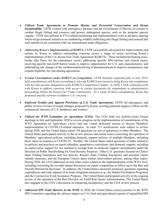- *Utilized Trade Agreements to Promote Marine and Terrestrial Conservation and Ocean Sustainability.* USTR worked with interagency partners and the Government of Mexico on actions to combat illegal fishing and conserve and protect endangered species, such as the porpoise species vaquita. USTR also utilized its FTA-related monitoring and implementation work to advance ongoing whole-of-government initiatives on combatting wildlife trafficking and illegal fishing and ensured that such initiatives are consistent with our international trade obligations.
- *Addressing Korea's Implementation of KORUS.* USTR successfully advocated for improvements and actions by Korea to address outstanding concerns across a range of issues involving Korea's implementation of the U.S.-Korea Free Trade Agreement (KORUS). These included facilitating crossborder data flows for the reinsurance sector; addressing specific SPS barriers and related issues; resolving specific non-tariff barrier issues to improve opportunities for U.S. auto manufacturers; and undertaking rule changes in the reimbursement pricing of pharmaceuticals to improve transparency and expand eligibility for risk-sharing agreements.
- *Formal Consultations under KORUS on Competition.* USTR formally requested and, in July 2019, held consultations with Korea according to relevant KORUS provisions to bring Korea into compliance with key due process obligations in the KORUS Competition Chapter. In 2020, USTR continued work with Korea to address concerns with access to certain documents by respondents in administrative proceedings before the Korea Fair Trade Commission. As a result of these consultations, Korea has proposed specific reforms to address U.S. concerns.
- *Enforced Textiles and Apparel Provisions of U.S. Trade Agreements.* USTR led interagency and public reviews of rules of origin changes proposed by Korea, averting potential negative effects on the commercial interests of U.S. producers and workers.
- *Utilized the WTO Committee on Agriculture (COA)***.** The COA held two hybrid-virtual formal meetings in July and September 2020 to review progress on the implementation of commitments of the WTO Agreement on Agriculture (AoA) and one virtual dedicated session to discuss Members' implementation of COVID-19-related measures. In total, 373 notifications were subject to review during 2020, and the United States asked 158 questions (or sets of questions) to other Members. The United States participated actively in the review process and raised issues concerning the operation of Members' agricultural policies, including domestic support policies of multiple Members, including those taken in response to COVID-19. Notably, the United States asked questions of India related to its policies and practices on export subsidies, quantitative restrictions, and domestic support, including its market price support for rice notified as exempt from its domestic support commitments under the Decision on Public Stockholding for Food Security Purposes. Other U.S. questions focused on China's State Trading Enterprises and rice policies, Russia's State Trading Enterprises and potential export subsidy measures, and the European Union's dairy market intervention policies, among other topics. During 2020, the COA addressed several other issues related to the implementation of the WTO AoA, including convening the seventh annual discussion on export competition as follow-up to the Bali and Nairobi Ministerial Decisions. In addition, the United States answered numerous questions regarding expenditures and trade impacts of its trade mitigation measures (e.g., the Market Facilitation Programs) and the Coronavirus Food Assistance Program. The United States participated actively in the ongoing review of the operation of the Bali Decision on Tariff Rate Quota Administration. The United States also engaged in the COA's discussion on enhancing transparency and the COA review process.
- *Addressed SPS Trade Barriers in the WTO.* In 2020, the United States raised concerns in the WTO SPS Committee regarding the adverse impact on U.S. food and agricultural exports of unjustified SPS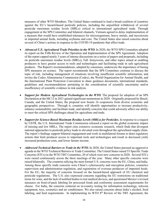measures of other WTO Members. The United States continued to lead a broad coalition of countries against the EU's hazard-based pesticide policies, including the unjustified withdrawal of several pesticide maximum residue levels (MRLs) critical to international agricultural trade. Through engagement at the SPS Committee and bilateral channels, Vietnam agreed to delay implementation of a measure that would have established tolerances for microorganisms, heavy metals, and mycotoxins in imported animal feeds, including soybeans and corn. The United States also raised concerns about several of China's actions in response to the COVID-19 pandemic that affect trade.

- *Advanced U.S. Agricultural Trade Priorities in the WTO.* In 2020, the WTO SPS Committee adopted its report on the Fifth Review of the Operation and Implementation of the SPS Agreement. Adoption of the report capped nearly 3 years of intense discussions on a series of papers and proposals, including on pesticide maximum residue levels (MRLs), Fall Armyworm, and other topics aimed at enabling producers to have greater access to tools and technologies and facilitating trade in safe agricultural products. The Report's recommendations, adopted by consensus, underscore the importance of basing SPS measures on science. The report recommends that the SPS Committee continue to discuss the topic of risk, including management of situations involving insufficient scientific information, and invites the Codex Alimentarius Commission (Codex), the World Organization for Animal Health, and the International Plant Protection Convention to share guidance documents, international standards, guidelines and recommendations pertaining to the consideration of scientific uncertainty and/or insufficiency of scientific evidence in risk analysis.
- *Support for Modern Agricultural Technologies in the WTO.* The proposal for adoption of an SPS Declaration at the MC12 in 2021 gained significant momentum in 2020. Originally proposed by Brazil, Canada, and the United States, the proposal now boasts 16 cosponsors from diverse economic and geographic perspectives. Through it, countries will identify opportunities to increase productivity, enhance sustainability and facilitate trade, and identify concerns that could adversely affect our ability to meet the critical SPS challenges ahead for agriculture and trade.
- *Support for Science-Based Maximum Residue Levels (MRLs) for Pesticides.* In response to a request by USTR, the U.S. International Trade Commission released a report on the global economic impact of missing and low MRLs. The report cites extensive economic research, which finds that divergent national approaches to pesticide policy leads to elevated costs throughout the agricultural supply chain. The report's findings support bilateral engagement and work in multilateral forums to deter regulatory actions that limit producer access to important tools and technologies and result in decreased yield, increased production costs, and lower farmer income.
- *Addressed Technical Barriers to Trade in the WTO.* In 2020, the United States pursued an aggressive agenda in the WTO Technical Barriers to Trade Committee. The United States raised 53 Specific Trade Concerns (STCs) in the WTO TBT Committee, 20 of which were new concerns in 2020. Several STCs were raised continuously across the three meetings of the year. Many other specific concerns were raised bilaterally. The countries tallying the most formal U.S. concerns were the EU, China, and India. Among these specific trade concerns were China's cybersecurity and encryption policies, cosmetics supervision and administration regulation, and registration of overseas producers of imported foods. For the EU, the majority of concerns focused on the hazard-based approach of EU chemical and pesticide regulations. The U.S. also expressed concerns regarding the EU restrictions on traditional terms for wine, and the lack of notified bodies to test medical devices, and questioned Mexico's revised measures on front-of-pack labeling for processed foods and conformity assessment requirements for cheese. For India, the concerns centered on in-country testing for information technology, telecom equipment, toys, cosmetics and air conditioners. We also raised concerns about India's alcohol, food labeling, and feed requirements. In implementing its WTO 8<sup>th</sup> Review of the TBT Agreement, the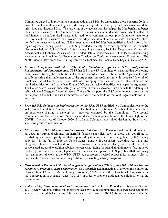Committee agreed to improving its communications on STCs, by announcing those concerns 20 days prior to the Committee meeting and adjusting the agenda so that proposed measures would be prioritized and discussed first. This ordering of the agenda has also helped the Membership to better identify final measures. The Committee came to a decision on a new addenda format, which will assist the Members to notify revised measures for additional comment periods, provide internet links to or PDF copies of final measures, and provide final adoption and implementation dates. Twenty Members notified their websites containing all final regulations and 100 Members notified updated information regarding their inquiry points. The U.S. provided a variety of expert speakers to the thematic discussions held on National Quality Infrastructure, Transparency, Technical Regulations, Conformity Assessment and Technical Assistance. The United States also served as one of the leaders in launching a negotiation on Principles for Regulators to Consider on Conformity Assessment Procedures. The Ninth Triennial Review of the WTO Agreement on Technical Barriers to Trade began in October 2020.

- *Ensured Compliance with the WTO Trade Facilitation Agreement (TFA) Notifications Requirements and Implementation.* USTR has led in the TF Committee on ensuring that developing countries are utilizing the flexibilities in the TFA in accordance with Section II of the Agreement, while equally ensuring that implementation of the Agreement proceeds in line with those self-determined timelines. As of October 2020, over 90% of developing countries had successfully submitted the required notification, and more than 50% of LDCs are on track with notifications as per the Agreement. The United States has also successfully rallied over 30 countries to come into line with their delinquent self-designated Category A commitments. These efforts support the U.S.' commitment to be an active participant in the WTO and its Committees to ensure the benefits of the WTO agreements for U.S. exporters.
- *Provided U.S. Guidance on Implementation of the TFA*. USTR notified two Communications to the WTO Trade Facilitation Committee in 2020. The first aimed to stimulate Members to take next steps on experience sharing to develop best practices endorsed by the Committee. The second Communication focused on how Members should accelerate implementation of the TFA in light of the COVID-19 crisis. As of October 2020, Brazil and Colombia have joined the United States in cosponsoring this Communication.
- *Utilized the WTO to Address Harmful Fisheries Subsidies.* USTR worked with WTO Members to advocate for strong disciplines on harmful fisheries subsidies, such as those that contribute to overfishing and overcapacity or that support illegal, unreported and unregulated (IUU) fishing activities. In the fall of 2019 the United States, along with cosponsors Argentina, Australia, and Uruguay, submitted textual additions to its proposal for monetary subsidy caps, while the U.S. cosponsored proposal to prohibit subsidies to vessels not flying the subsidizing Members' flag attracted the European Union, Indonesia, Japan, and Taiwan as new cosponsors. In September 2020, following the resumption of work at the WTO, USTR co-sponsored a revised proposal for stronger rules to enhance the transparency and reporting of Members' existing subsidy programs.
- *Participated in Regional Fisheries Management Organizations (RMFOs) and Other Global Oceans Meetings to Promote Marine Conservation***.** USTR participated in meetings of the Commission for the Conservation of Antarctic Marine Living Resources (CCAMLR) and the International Commission for the Conservation of Atlantic Tunas (ICCAT), in order to promote trade-related solutions to marine conservation.
- *[Addressed Key Telecommunications Trade Barriers.](https://ustr.gov/about-us/policy-offices/press-office/press-releases/2015/april/obama-administration-targets)* In March, USTR conducted its annual [Section](https://ustr.gov/sites/default/files/2015-Section-1377-Report_FINAL.pdf)  [1377 Review,](https://ustr.gov/sites/default/files/2015-Section-1377-Report_FINAL.pdf) which identifies major barriers faced by U.S. telecommunications service and equipment suppliers in the global economy. The National Trade Estimate (NTE) Report, which includes the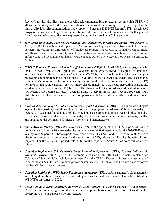Review's results, also illustrates the specific telecommunications-related issues on which USTR will allocate monitoring and enforcement efforts over the current and coming fiscal years to protect the high-quality jobs telecommunications trade supports. Since the 2020 NTE Report, USTR has achieved progress on issues affecting telecommunications trade, but continues to monitor new challenges that face American telecommunications exporters, including barriers in the Chinese market.

- *[Monitored Intellectual Property Protections and Obligations through the Special 301 Report.](https://ustr.gov/about-us/policy-offices/press-office/press-releases/2015/april/ustr-releases-annual-special-301)* In April, USTR released its annual "Special 301" Report on the adequacy and effectiveness of U.S. trading partners' protection and enforcement of intellectual property rights. USTR maintained China, India, and Russia's status on the Priority Watch List, noting continuing concerns about IP protection and enforcement. USTR announced that it would conduct Out-of-Cycle Reviews of Malaysia and Saudi Arabia.
- *KORUS Potatoes Fresh or Chilled Tariff Rate Quota (TRQ).* In April 2020, after engagement by USTR, Korea's Ministry of Agriculture, Food and Rural Affairs (MAFRA) agreed to announce auctions under the KORUS *Potatoes fresh and chilled* TRQ in the final months of the calendar year preceding administration and filling of the TRQ volume for the following calendar year. This change from Korea's previous practice of announcing auctions in the latter half of a calendar year to fill TRQ volumes in that same calendar year will more closely match the U.S. potato harvesting season, and substantially increase Korea's TRQ fill rate. The change in TRQ administration should address very low recent TRQ volume fill rates – averaging only 10 percent in the most recent three years. Full utilization of the TRQ volume will result in approximately \$2.3 million worth of additional potato exports.
- *Succeeded in Challenge to India's Prohibited Export Subsidies.* In 2018, USTR initiated a dispute against India regarding several prohibited export subsidy programs worth over \$7 billion annually. In October 2019, a panel found in favor of the United States, agreeing that India gives prohibited subsidies to producers of steel products, pharmaceuticals, chemicals, information technology products, textiles, and apparel, to the detriment of American workers and manufacturers.
- *South African Poultry TRQ Fills at Record Levels.* In the spring of 2020, U.S. exports of bone-in poultry meat to South Africa exceeded the quota levels of 68,000 metric tons for the 2019/2020 quota year by over 30 percent. These exports are a result of work by USTR and USDA with South Africa to clarify and improve its guidelines for the utilization of TRQ allocations for U.S. bone-in chicken imports. For the 2019/2020 period, total U.S. poultry exports to South Africa were valued at \$95 million.
- *Colombia Implements U.S.-Colombia Trade Promotion Agreement (CTPA) Express Delivery "de minimis" Provision.* In August 2020, Colombia published Decree 1090 which finally implemented Colombia's "de minimis" threshold commitment from the CTPA. Express shipments valued at equal to or less than USD 200, are now exempt from customs tariffs. U.S small- and medium-sized exporters will benefit from this new decree.
- *Colombia Ratifies the WTO Trade Facilitation Agreement (TFA).* After sustained U.S. engagement and a long domestic approval process, including a Constitutional Court review, Colombia ratified the WTO TFA on August 6, 2020.
- *Costa Rica Rolls Back Regulatory Barriers on Used Textiles.* Following sustained U.S. engagement, Costa Rica set aside a regulation that would have imposed barriers on U.S. exports of used textiles, preserving U.S. jobs supported by this market.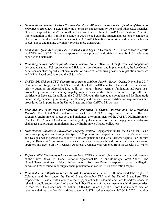- *Guatemala Implements Revised Customs Practice to Allow Corrections to Certification of Origin, as Provided in the CAFTA-DR.* Following significant engagement by USTR and other USG agencies, Guatemala agreed in mid-2019 to allow for corrections to the CAFTA-DR Certification of Origin. Implementation of this significant change in 2020 helped expedite Guatemalan customs clearance of U.S. exported products and ensure access to CAFTA-DR benefits, saving time and money for buyers of U.S. goods and making the import process more transparent.
- *Guatemala Opens Access for U.S. Exported Table Eggs.* In December 2019, after concerted efforts by USTR and USDA, Guatemala approved a new protocol authorizing access for U.S. table eggs exported to Guatemala.
- *Promoting Sound Policies for Maximum Residue Limits (MRLs).* Through technical cooperation designed to support U.S. approaches to MRL policy development and implementation, the five Central American countries signed a technical resolution aimed at harmonizing pesticide registration processes and MRLs, based on Codex and the U.S. model.
- *CAFTA-DR SPS and TBT Committees Agree to Address Priority Issues.* During November 2019 Committee meetings, the United States and other CAFTA-DR countries deepened discussions with priority attention on addressing food additives, sanitary import permits, fumigation and pests lists, product registration and sanitary registry requirements, certification requirements, apostille and certificate of free sale. In addition, the CAFTA-DR countries agreed to strengthen and facilitate trade under the Agreement by improving the efficiency and transparency of certification requirements and procedures for imports from the United States and other CAFTA-DR partners.
- *Promoted and Monitored Environmental Protection in Central America and the Dominican Republic***.** The United States and other Parties to the CAFTA-DR Agreement continued efforts to strengthen environmental protection, and implement the commitments of the CAFTA-DR Environment Chapter. The Points of Contact met virtually at regular intervals to continue engagement and discuss challenges and progress in implementing the Environment Chapter obligations.
- *Strengthened Jamaica's Intellectual Property System.* Engagement under the Caribbean Basin preference programs, and through the Special 301 process, encouraged Jamaica to pass of a new Patent and Designs Act to replace the country's outdated patent and industrial designs regime. For the first time, the Broadcast Commission of Jamaica commenced a copyright audit for all subscriber television operators and free-to-air TV licensees. As a result, Jamaica was removed from the Special 301 Watch List.
- *Enforced FTA Environment Provisions in Peru.* USTR continued robust monitoring and enforcement of the United States-Peru Trade Promotion Agreement (PTPA) and its unique Forest Annex. The United States continues to block timber imports from two Peruvian exporters, based on illegally harvested timber found in its supply chain pursuant to an earlier USTR verification request.
- *Promoted Labor Rights under FTAs with Colombia and Peru.* USTR monitored labor rights in Colombia and Peru under the United States-Colombia TPA and the United States-Peru TPA respectively. These efforts included close engagement with Colombia and Peru to address concerns related to public submissions filed under the Labor Chapters of trade agreements with those countries. In each case, the Department of Labor (DOL) has issued a public report that includes detailed recommendations to address labor rights concerns. USTR worked closely with DOL in 2020 to monitor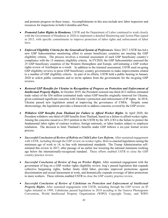and promote progress on these issues. Accomplishments in this area include new labor inspectors and resources for inspections in both Colombia and Peru.

- *[Promoted Labor Rights in Honduras.](https://ustr.gov/about-us/policy-offices/press-office/press-releases/2015/february/statement-us-trade-representative)* USTR and the Department of Labor continued to work closely with the Government of Honduras in 2020 to implement a detailed Monitoring and Action Plan signed in 2015, with specific commitments to improve protection of labor rights and enforcement of labor laws.
- *[Enforced Eligibility Criteria for the Generalized System of Preferences.](http://ustr.gov/about-us/policy-offices/press-office/press-releases/2015/april/statement-us-trade-representative-0)* Since 2017, USTR has led a new GSP Subcommittee monitoring effort to ensure beneficiary countries are meeting the GSP eligibility criteria. The process involves a triennial assessment of each GSP beneficiary country's compliance with the 15 statutory eligibility criteria. In FY2020, the GSP Subcommittee assessed the 25 GSP beneficiary countries of the Western Hemisphere and Europe, self-initiating a GSP worker rights review of Azerbaijan as a result. In addition to the triennial assessment, USTR used on-going GSP eligibility reviews to press GSP beneficiary country governments to make improvements related to a number of GSP eligibility criteria. As part of its efforts, USTR held a public hearing in January 2020 to solicit public comments and to invite updates from the governments for the on-going GSP reviews.
- *Restored GSP Benefits for Ukraine in Recognition of Progress on Protection and Enforcement of Intellectual Property Rights.* In October 2019, the President restored one-third (\$12 million estimated trade value) of the \$36 million (estimated trade value) GSP benefits originally removed for Ukraine, given continued significant concerns with Ukraine's protection and enforcement of IP rights. In 2018, Ukraine passed new legislation aimed at improving the governance of CMOs. Despite some shortcomings, the legislation provides a framework to address concerns covered by the GSP review.
- *Withdrew GSP Benefits from Thailand for Failure to Afford Worker Rights*. In April 2020, the President withdrew one-third of GSP benefits from Thailand, based on a failure to afford worker rights. Among the concerns raised in a 2013 petition to the USTR by the AFL-CIO is the failure to protect the fundamental labor rights of contract workers, foreign nationals, or labor leaders subject to employer retaliation. The decision to limit Thailand's benefits under GSP follows a six-year formal review process.
- *Successful Conclusion of Review of Bolivia on Child Labor Law Reform.* After sustained engagement with USTR, including through the GSP review on worker rights, Bolivia enacted legislation raising the minimum age of work to 14, in line with international standards. The Trump Administration selfinitiated this review in 2017, after passage of an earlier law lowering the national minimum working age below the internationally-recognized standard. These efforts enabled USTR to close the GSP country practice review.
- *Successful Conclusion of Review of Iraq on Worker Rights.* After sustained engagement with the government of Iraq on a GSP worker rights eligibility review, Iraq's passed legislation that expands collective bargaining rights, further limits child labor, provides improved protections against discrimination and sexual harassment at work, and dramatically expands coverage of labor protections to more workers. These reforms enabled USTR to close the GSP country practice review.
- *Successful Conclusion of Review of Uzbekistan on Protection and Enforcement of Intellectual Property Rights.* After sustained engagement with USTR, including through the GSP review on IP rights initiated in 1999, Uzbekistan passed legislation in 2018 acceding to the Geneva Phonograms Convention, World Intellectual Property Organization (WIPO) Copyright Treaty, and WIPO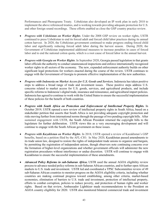Performances and Phonograms Treaty. Uzbekistan also developed an IP work plan in early 2018 to implement the above referenced treaties, and is working towards providing adequate protection for U.S. and other foreign sound recordings. These efforts enabled us close the GSP country practice review.

- *Progress with Uzbekistan on Worker Rights*. Under the 2008 GSP review on worker rights, USTR continued to press Uzbekistan to end its forced adult and forced child labor practices during its annual cotton harvest. In 2020, the Uzbekistan government continued to make progress ending forced child labor and significantly reducing forced adult labor during the harvest season. During 2020, the Government of Uzbekistan implemented additional measures to increase penalties in cases of forced labor and to end the national cotton quota, which is a root cause of forced labor in the annual harvest.
- *Progress with Georgia on Worker Rights*. In September 2020, Georgia passed legislation in that grants labor officials the authority to conduct unannounced inspections and enforce internationally recognized worker rights in all sectors of the economy. The new, expanded enforcement authority builds on other significant legal protections for workers enacted during the course of the review. USTR continues to engage with the Government of Georgia to promote effective implementation of the new authorities.
- *Progress with Indonesia on Market Access for U.S. Goods and Services.* Indonesia has taken positive steps to address a broad range of trade and investment issues. These positive steps address U.S. concerns related to market access for U.S. goods, services, and agricultural products, and include specific reforms to Indonesia's digital trade, insurance and reinsurance, and agricultural import policies. Indonesia has agreed to continue to work with the United States to ensure the successful implementation of these policies for the benefit of both countries.
- *Progress with South Africa on Protection and Enforcement of Intellectual Property Rights.* In October 2019, USTR opened a new review of intellectual property rights in South Africa, based on a stakeholder petition that asserts that South Africa is not providing adequate copyright protection and risks moving further from international norms through the passage of two pending copyright bills. After sustained engagement with USTR, the South African President returned the copyright bills to the legislature for further deliberation. USTR views this as a very encouraging development and will continue to engage with the South African government on these issues.
- *Progress with Kazakhstan on Worker Rights*. In 2018, USTR opened a review of Kazakhstan's GSP benefits, based on a petition filed by the AFL-CIO. In May 2020, Kazakhstan passed amendments to its trade union law, designed to restore the rights of independent trade unions to organize and bargain, by permitting the registration of independent unions, though observers note continuing concerns over the formation of higher-level organizations and whether government officials will administer the new registration procedures without interference or undue discretion. USTR will continue to engage with Kazakhstan to ensure the successful implementation of these amendments.
- *Advanced Policy Reforms in sub-Saharan Africa***.** USTR used the annual AGOA eligibility review process to advance needed policy reforms in sub-Saharan African countries, and to further open African markets to U.S. trade and investment. USTR led and coordinated a TPSC Subcommittee review of 49 sub-Saharan African countries to monitor progress on the AGOA eligibility criteria, including whether countries are making continual progress toward establishing, among other criteria, market-based economies, elimination of barriers to U.S. trade and investment, protection of intellectual property, efforts to combat corruption, policies to reduce poverty, and protection of human rights and worker rights. Based on that review, Ambassador Lighthizer made recommendations to the President on AGOA country eligibility for 2020. USTR also monitored bilateral commercial trade and investment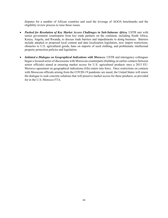disputes for a number of African countries and used the leverage of AGOA benchmarks and the eligibility review process to raise those issues.

- *Pushed for Resolution of Key Market Access Challenges in Sub-Saharan Africa.* USTR met with senior government counterparts from key trade partners on the continent, including South Africa, Kenya, Angola, and Rwanda, to discuss trade barriers and impediments to doing business. Barriers include adopted or proposed local content and data localization legislation, new import restrictions, obstacles to U.S. agricultural goods, bans on imports of used clothing, and problematic intellectual property protection policies and legislation.
- *Initiated a Dialogue on Geographical Indications with Morocco*. USTR and interagency colleagues began a focused series of discussions with Moroccan counterparts (building on earlier contacts between senior officials) aimed at ensuring market access for U.S. agricultural products once a 2015 EU-Morocco agreement on geographical indications (GIs) enters into force. Once restrictions on contacts with Moroccan officials arising from the COVID-19 pandemic are eased, the United States will renew the dialogue to seek concrete solutions that will preserve market access for these products, as provided for in the U.S.-Morocco FTA.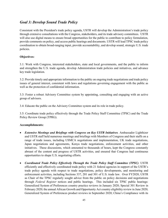### *Goal 3: Develop Sound Trade Policy*

Consistent with the President's trade policy agenda, USTR will develop the Administration's trade policy through extensive consultations with the Congress, stakeholders, and its trade advisory committees. USTR will also use digital means to ensure broad opportunities for the public to contribute to policy formulation, provide comments on policy, and access public hearings and documents. USTR will lead TPSC trade policy coordination to obtain broad-ranging input, provide accountability, and develop sound, strategic U.S. trade policies.

#### **Objectives:**

3.1: Work with Congress, interested stakeholders, state and local governments, and the public to inform and strengthen the U.S. trade agenda, develop Administration trade policies and initiatives, and advance key trade legislation.

3.2: Provide timely and appropriate information to the public on ongoing trade negotiations and trade policy issues of general interest, consistent with laws and regulations governing engagement with the public as well as the protection of confidential information.

3.3: Foster a robust Advisory Committee system by appointing, consulting and engaging with an active group of advisors.

3.4: Educate the public on the Advisory Committee system and its role in trade policy.

3.5: Coordinate trade policy effectively through the Trade Policy Staff Committee (TPSC) and the Trade Policy Review Group (TPRG).

#### **Accomplishments:**

- *Extensive Meetings and Briefings with Congress on Key USTR Initiatives.* Ambassador Lighthizer and USTR staff held numerous meetings and briefings with Members of Congress and their staffs on a range of trade issues, including USMCA negotiations and implementation, UK trade negotiations, Japan negotiations and agreements, Kenya trade negotiations, enforcement activities, and other initiatives. These discussions, which amounted to thousands of hours, kept the Congress constantly abreast of the content and progress of USTR activities, and ensured that Congress had continuous opportunities to shape U.S. negotiating efforts.
- *Coordinated Trade Policy Effectively Through the Trade Policy Staff Committee (TPSC)*. USTR efficiently and effectively coordinated trade policy with 21 federal agencies in support of the USTR's trade policy agenda with respect to trade negotiations, policy developments, and monitoring and enforcement activities, including Sections 337, 201 and 301 of U.S. trade law. Over FY2020, USTR as Chair of the TPSC regularly sought advice from the public on policy decisions and negotiations through *Federal Register* notices and public hearings. This included six TPSC public hearings: Generalized System of Preferences country practice reviews in January 2020; Special 301 Review in February 2020; the annual African Growth and Opportunity Act country eligibility review in June 2020; Generalized System of Preferences product reviews in September 2020; China's Compliance with its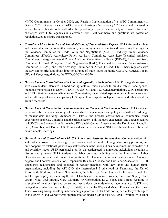+WTO Commitments in October 2020; and Russia's Implementation of its WTO Commitments in October 2020. Due to the COVID-19 pandemic, hearings after February 2020 were held in virtual or written form, with stakeholders afforded the opportunity to participate virtually or in written form and exchanges with TPSC agencies in electronic form. All testimony and questions are posted on regulations.gov to ensure transparency.

- *Consulted with an Inclusive and Rounded Group of Trade Advisory Experts.* USTR fostered a robust and balanced advisory committee system by appointing new advisors to and conducting briefings for the Advisory Committee on Trade Policy and Negotiations (ACTPN), Industry Trade Advisory Committees (ITACs), Agriculture Policy Advisory Committee, Agriculture Technical Advisory Committees, Intergovernmental Policy Advisory Committee on Trade (IGPAC), Labor Advisory Committee for Trade Policy and Trade Negotiations (LAC), Trade and Environment Policy Advisory Committee (TEPAC), and Trade Advisory Committee on Africa (TACA). USTR meets regularly with the advisors to brief and obtain input on a range of trade issues including USMCA, KORUS, Japan, UK, and Kenya negotiations, the WTO, OECD and G20.
- *Outreach to and Consultations with Food and Agriculture Stakeholders*. USTR engaged extensively with stakeholders interested in food and agricultural trade matters to build a robust trade agenda, including matters such as USMCA, KORUS, U.S.-UK and U.S.-Kenya negotiations, WTO agriculture and SPS initiatives, Codex Alimentarius Commission, trade related aspects of agriculture innovation, and a full range of matters impacting U.S. agricultural exports to Japan, China, and other countries around the world.
- *Outreach to and Consultations with Stakeholders on Trade and Environment Issues*. USTR engaged in considerable outreach on a range of trade and environment issues and policy areas with a broad range of stakeholders including Members of TEPAC, the broader environmental community, other government agencies, Congress, and the private sector.This included engagement and outreach related to USMCA, and outreach under existing FTAs with Central America and the Dominican Republic, Peru, Colombia, and Korea. USTR engaged with environmental NGOs on the sidelines of bilateral environmental meetings.
- *Outreach to and Consultations with U.S. Labor and Business Stakeholders.* Communication with stakeholders provided a wide range of positions considered in developing labor policy positions, and built cooperative relationships with key stakeholders in the labor and business communities on difficult and sensitive issues. USTR personnel at all levels participated in numerous stakeholder meetings to discuss and promote USTR trade-related labor policies, including with the International Labor Organization, International Finance Corporation, U.S. Council for International Business, American Apparel and Footwear Association, Responsible Business Alliance, and Fair Labor Association. USTR established relationships and engaged in regular meetings with key labor and human rights organizations, including the AFL-CIO, the International Brotherhood of Teamsters, the United Automobile Workers, the United Steelworkers, the Solidarity Center, Human Rights Watch, and U.S. and foreign employers, including the U.S. Chamber of Commerce, Primark, the Cocoa Supply chain Group, Nike, Levi Strauss, Gap, Walmart, VF Corporation, Li & Fung, and Target, resulting in strengthened relationships and consulting mechanisms on trade-related labor matters. USTR also engaged in regular meetings with key Hill staff, in particular Ways and Means, Finance, and the House Trade Working Group, resulting in broadening support for USTR trade policy, particularly with regard to the USMCA and worker rights implementation under GSP and FTAs. USTR worked with labor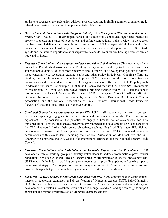advisors to strengthen the trade union advisory process, resulting in finding common ground on traderelated labor matters and leading to unprecedented collaboration.

- *Outreach to and Consultations with Congress, Industry, Civil Society, and Other Stakeholders on IP Issues.* Over FY2020, USTR developed, tabled, and successfully concluded significant intellectual property proposals in a range of negotiations and enforcement actions. Policy reviews in these areas involved careful deliberation, research, and consultation. USTR engaged stakeholders with often competing views on an almost daily basis to address concerns and build support for the U.S. IP trade agenda and maintained important relationships with stakeholder communities holding diverse views on trade and IP issues.
- *Extensive Consultations with Congress, Industry and Other Stakeholders on SME Issues*. On SME issues, USTR worked extensively with the TPSC agencies, Congress, industry, trade partners, and other stakeholders to identify issues of most concern to small business, and develop trade policies to address those concerns (*e.g*., leveraging existing FTAs and other policy initiatives). Ongoing efforts are yielding measurable outcomes including improved TPSC agency coordination, more frequent consultations with stakeholders to inform the U.S. agenda, and more effective use of USTR policy tools to address SME issues. For example, in 2020 USTR convened the first U.S.-Kenya SME Roundtable in Washington, D.C. with U.S. and Kenya officials bringing together over 90 SME stakeholders to discuss ways to enhance U.S.-Kenya SME trade. USTR also engaged ITAC-9 Small and Minority Business, National District Export Councils, America's Small Business Development Centers Association, and the National Association of Small Business International Trade Educators (NASBITE) National Small Business Exporter Summit.
- *Continued Outreach to Key Stakeholders on the TFA.* USTR staff frequently participated in outreach events and speaking engagements on ratification and implementation of the Trade Facilitation Agreement (TFA) focused on the potential to engage a broader set of stakeholders for TFA implementation. This included engagement with environmental and development NGOs on aspects of the TFA that could further their policy objectives, such as illegal wildlife trade, IUU fishing, development, disease control and prevention, and anti-corruption. USTR conducted extensive consultations with stakeholders, including the National Association of Manufacturers, the U.S. Chamber of Commerce, the U.S. Council for International Business, and the National Foreign Trade Council.
- *Extensive Consultations with Stakeholders on Mexico's Express Courier Procedures.* USTR developed a robust working group of industry stakeholders to address problematic express courier regulations in Mexico's General Rules on Foreign Trade. Working with an extensive interagency team, USTR met with the industry working group on a regular basis, providing updates and seeking input to coordinate strategy. The cooperation resulted in greater access to Mexican decision-makers and positive changes that give express delivery couriers more certainty in the Mexican market.
- <span id="page-49-0"></span>• *Supported USAID Program for Mongolia Cashmere Industry*. In 2020, in response to Congressional interest in supporting expansion and diversification of Mongolia exports, USTR helped launch a USAID-funded technical assistance project to advise the Mongolian government and industry on development of a sustainable cashmere value chain in Mongolia and a "branding" campaign to support expansion and market diversification of Mongolia cashmere exports.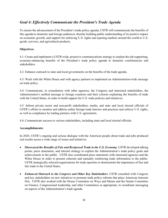### *Goal 4: Effectively Communicate the President's Trade Agenda*

To ensure the advancement of the President's trade policy agenda, USTR will communicate the benefits of this agenda to domestic and foreign audiences, thereby building public understanding of its positive impact on economic growth, and support for enforcing U.S. rights and opening markets around the world to U.S. goods, services, and agricultural products.

#### **Objectives:**

4.1: Create and implement a USTR-wide, proactive communications strategy to explain the job-supporting, economy-enhancing benefits of the President's trade policy agenda to domestic constituencies and stakeholders.

4.2: Enhance outreach to state and local governments on the benefits of the trade agenda.

4.3: Work with the White House and with agency partners to implement an Administration-wide message on trade policy.

4.4: Communicate, in consultation with other agencies, the Congress and interested stakeholders, the Administration's unified message to foreign countries and their citizens explaining the benefits of trade with the United States, in order to build support for U.S. trade policies and initiatives.

4.5: Inform private sector and non-profit stakeholders, media, and state and local elected officials of USTR's efforts to monitor and address unfair foreign trade barriers and practices and enforce U.S. rights, as well as compliance by trading partners with U.S. agreements.

4.6: Communicate success to various stakeholders, including state and local elected officials.

#### **Accomplishments:**

In 2020, USTR's ongoing and serious dialogue with the American people about trade and jobs produced real results across a wide range of issues and initiatives.

- *[Showcased the Benefits of Fair and Reciprocal Trade to the U.S. Economy.](https://ustr.gov/about-us/policy-offices/press-office/press-releases/2015/october/ustr-froman-sen-tom-carper-and-sen)* USTR developed talking points, press statements, and internet strategy to explain the Administration's trade policy goals and achievements to the public. USTR also coordinated press statements with interested agencies and the White House in order to present coherent and mutually reinforcing trade information to the public. USTR strategically selected organizations for trade speeches to demonstrate the importance of free and fair trade to the United States.
- *Enhanced Outreach to the Congress and Other Key Stakeholders.* USTR consulted with Congress and key stakeholders on new initiatives to promote trade policy reforms that place American interests first. USTR also worked with the House Committee on Ways and Means and the Senate Committee on Finance, Congressional leadership, and other Committees as appropriate, to coordinate messaging on aspects of the Administration's trade agenda.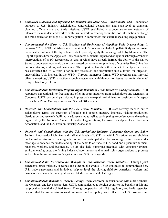- *[Conducted Outreach and Informed US Industry and State-Level Governments.](https://ustr.gov/about-us/policy-offices/press-office/press-releases/2015/april/ustr-froman-and-congressman-brad)* USTR conducted outreach to U.S. industry stakeholders, congressional delegations, and state-level governments planning official visits and trade missions. USTR established a stronger state-level network of interested stakeholders and worked with this network to offer opportunities for information exchange and trade education through USTR participation in conferences and external speaking engagements.
- *Communicated the Harm to U.S. Workers and Businesses of Appellate Body Overreaching.* In February 2020, USTR published a report detailing U.S. concerns with the Appellate Body and assessing the repeated failures of the Appellate Body to properly apply the rules agreed to by Members. The Report explains how the Appellate Body has altered Members' rights and obligations through erroneous interpretations of WTO agreements, several of which have directly harmed the ability of the United States to counteract economic distortions caused by non-market practices of countries like China that hurt our citizens, workers, and businesses. The Report explains how the conduct of the Appellate Body has converted the WTO from a forum for discussion and negotiation into a forum for litigation, undermining U.S. interests in the WTO. Through numerous formal WTO meetings and informal bilateral meetings, USTR has actively sought engagement with Members on issues that are fundamental to Appellate Body reform**.**
- *Communicated the Intellectual Property Rights Benefits of Trade Initiatives and Agreements.* USTR responded expeditiously to frequent and often in-depth inquiries from stakeholders and Members of Congress. USTR personnel participated in press calls to explain Administration positions with respect to the China Phase One Agreement and Special 301 matters.
- *Outreach and Consultations with the U.S. Textile Industry***.** USTR staff actively reached out to stakeholders across the spectrum of textile and apparel industry interests, visiting production, distribution, and research facilities in a dozen states as well as participating in conferences and meetings organized by the National Council of Textile Organizations, the American Apparel and Footwear Association, and the U.S. Fashion Industry Association.
- *Outreach and Consultations with the U.S. Agriculture Industry, Consumer Groups and Labor Unions.* Ambassador Lighthizer and staff at all levels of USTR met with U.S. agriculture stakeholders on the Administration's trade agenda, as well as participated in dozens of agriculture stakeholder meetings to enhance the understanding of the benefits of trade to U.S. food and agriculture farmers, ranchers, workers, and businesses. USTR also held numerous meetings with consumer groups, environmental groups, the fishing industry, labor unions, and animal rights organizations to promote and explain the Administration's agriculture and SPS trade agenda.
- *Communicated the Environmental Benefits of Administration Trade Initiatives*. Through joint statements, press releases, speeches and other public events, USTR continued to communicate how U.S. trade agreements and initiatives help to level the playing field for American workers and businesses and can address urgent trade-related environmental challenges.
- *Communicated the Benefits of Trade to Foreign Trade Partners.* In consultation with other agencies, the Congress, and key stakeholders, USTR communicated to foreign countries the benefits of fair and reciprocal trade with the United States. Through cooperation with U.S. regulatory and health agencies, ensured that the Administration-wide message on trade policy was reflected in U.S. positions and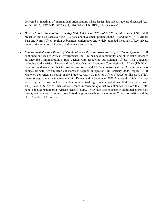delivered in meetings of international organizations where issues that affect trade are discussed (e.g. WIPO, WFP, UNCTAD, OECD, G7, G20, WHO, UN, HRC, PAHO, Codex).

- *Outreach and Consultation with Key Stakeholders on EU and MENA Trade Issues.* USTR staff presented and discussed evolving U.S. trade and investment policies in the EU and the MENA (Middle East and North Africa) region at business conferences and widely attended meetings of key private sector stakeholder organizations and relevant embassies.
- *Communicated with a Range of Stakeholders on the Administration's Africa Trade Agenda.* USTR continued outreach to African governments, the U.S. business community, and other stakeholders to advance the Administration's trade agenda with respect to sub-Saharan Africa. This outreach, including to the African Union and the United Nations Economic Commission for Africa (UNECA), increased understanding that the Administration's model FTA initiative with an African country is compatible with African efforts at increased regional integration. In February 2020, Deputy USTR Mahoney convened a meeting of the Trade Advisory Council on Africa (TACA) to discuss USTR's intent to negotiate a trade agreement with Kenya, and in September 2020 Ambassador Lighthizer met with the group to take stock after the first round of trade agreement negotiations. USTR staff addressed a high-level U.S.-Africa Business conference in Mozambique that was attended by more than 1,500 people, including numerous African Heads of State. USTR staff also took part in additional events held throughout the year, including those hosted by groups such as the Corporate Council on Africa and the U.S. Chamber of Commerce.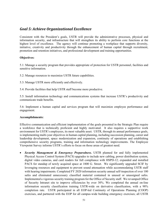### *Goal 5: Achieve Organizational Excellence*

Consistent with the President's goals, USTR will provide the administrative processes, physical and information security, and infrastructure that will strengthen its ability to perform core functions at the highest level of excellence. The agency will continue promoting a workplace that supports diversity, initiative, creativity and productivity through the enhancement of human capital through recruitment, promotion and retention initiatives, and professional development and training opportunities.

#### **Objectives:**

5.1: Manage a security program that provides appropriate of protection for USTR personnel, facilities and sensitive information.

5.2: Manage resources to maximize USTR future capabilities.

5.3: Manage USTR more efficiently and effectively.

5.4: Provide facilities that help USTR staff become more productive.

5.5: Install information technology and communications systems that increase USTR's productivity and communicate trade benefits.

5.6: Implement a human capital and services program that will maximize employee performance and engagement.

#### **Accomplishments:**

Effective communication and efficient implementation of the goals presented in the Strategic Plan require a workforce that is technically proficient and highly motivated. It also requires a supportive work environment for USTR's employees, its most valuable asset. USTR, through its annual performance goals, is implementing multi-year objectives in human capital planning, including succession planning, career and leadership development, space modernization and expansion, continuity of operations and establishing comprehensive security programs, training and information technology improvements. The Employee Viewpoint Survey informs USTR's efforts to focus on those areas of greatest need.

• *Security Management & Emergency Preparedness.* USTR planned for and fully implemented Physical Access Control System (PACS) upgrades to include new cabling, power distribution system, digital video cameras, and card readers for full compliance with HSPD-12; expanded and installed PACS for standup of newly acquired space at 1800 G. Street. We significantly upgraded SCIF by leveraging resources and equipment to prevent sound attenuation while accommodating USTR staff with hearing impairments. Completed FY 2020 information security annual self-inspection of over 100 safes and eliminated unnecessary classified material contained in unused or unassigned safes. Implemented a vigorous security training program for the Office of Security staff. We revamped Office of Security Intranet site to improve efficiencies by over 30%. We completed the annual on-line information security classification training USTR-wide on derivative classification, with a 98% completion rate. USTR participated in all EOP-led Continuity of Operations Planning (COOP) exercises, and partnered with the EOP for all campus-wide building emergency exercises; all USTR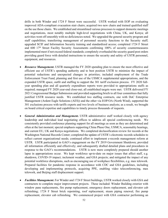drills in both Winder and 1724 F Street were successful. USTR worked with EOP on evaluating improved ADA-compliant evacuation stair chairs; acquired two new chairs and trained qualified staff on the use those chairs. We established and streamlined various processes to support domestic meetings and negotiations, most notably multiple high-level negotiations with China, UK, and Kenya; all activities went off smoothly with no deficiencies noted. We upgraded the general security program and staff capabilities; transferring management of personnel security functions to the Security staff; upgraded SCIF and Information Security training and standardized access; completed 1724 F Street and 600 17<sup>th</sup> Street Facility Security Assessments confirming 100% of security countermeasures implemented meet if not exceed federal standards; completely overhauled the security guard post orders providing guard force with detailed instructions to ensure the security and safety of USTR personnel, equipment, and resources.

- *Resource Management***.** USTR managed the FY 2020 spending plan to ensure the most effective and efficient use of USTR's spending authority and to best position USTR to minimize the impact of potential reductions and unexpected changes in priorities; included employment of the Trade Enforcement Trust Fund, planning and first use of the USMCA supplemental appropriations, and the expanded USTR space, outfit and staffing to support the 301 tariff exclusion process. FY 2020 fullyear spending plan and all quarterly expenditure reports were provided to appropriations staffs as required; managed FY 2020 year-end close-out; all established targets were met. USTR delivered FY 2021 Congressional Budget Submission and provided supporting briefs to all four committees that fully justified USTR resource needs. We established two staffing contracts, one with DoC Enterprise Management (Ardent Eagle Solutions (AES)) and the other via EOP/OA (North Wind), supported the 301 exclusions process with tariffs experts and two levels of business analysts; as a result, we brought on board critical expertise and capabilities to timely process thousands of requests.
- *General Administration and Management***.** USTR administrative staff worked closely with agency leadership and individual lead negotiating offices to address all special conferencing needs. We consistently provided conference planning support for all meetings as soon as they are determined and often at the last moment; special emphasis supporting China Phase One, USMCA, seasonality hearings, and current EU, UK and Kenya negotiations. We completed declassification review for records at the Washington National Records Center; completed the update of USTR's electronic records schedules to reflect current organizational needs; continued effort to implement e-records management reform at USTR. USTR participated in GAO's engagement on the FY 2019 Government Shutdown; provided all information efficiently and effectively; and subsequently drafted detailed plans and procedures in response to the GAO's recommendations. USTR is now more completely prepared should another lapse in appropriations occur. We kept workforce up-to-date on major issues that affect staff, e.g. shutdown, COVID-19 impact; inclement weather, and GSA projects; and mitigated the impact of any potential workforce disruptions, such as encouraging use of workplace flexibilities, e.g. max telework. Prepared facilities for pandemic response in accordance with CDC and GSA guidelines, including developing and implementing protocols, acquiring PPE, enabling video teleconferencing, max telework, and Beijing staff displacement support.
- *Facilities Management***.** For Winder and 1724 F Street buildings, USTR worked closely with GSA and contractors to complete major improvement projects. These included: Winder Building exterior with window pane replacements, fire pump replacement, emergency doors replacement, and elevator cab refinishing; 1724 F Street brick repointing, roof replacement, steam piping renewal, fire pump replacement, elevator cab refinishing. We commenced project with GSA contractor performing an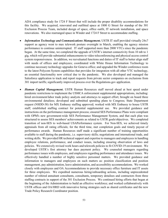ADA compliance study for 1724 F Street that will include the proper disability accommodations for this facility. We acquired, renovated and outfitted space at 1800 G Street for standup of the 301 Exclusion Process Team, included design of space, office outfit, IT network installation, and space renovations. We also rearranged space in Winder and 1724 F Street to accommodate staffing.

- *Information Technology and Communications Management***.** USTR IT staff provided virtually 24x7 support as agency went to max telework posture overnight in March, enabling the agency mission performance to continue uninterrupted. IT staff supported more than 2000 VTCs since the pandemic began. At the same time, we completed the upgrade of USTR's internet connectivity from 10 mb to 1 gig, which will provide substantial enhancements to video teleconferencing and physical access control system responsiveness. In addition, we reevaluated functions and duties of IT staff to better align staff with needs of offices and employees; coordinated with White House Information Technology to continue necessary technology upgrades for Geneva office; and upgraded the Winder conference room to the latest Polycom System capabilities that provides for integration with all other VTC technology, an essential functionality now critical due to the pandemic. We also developed and managed the Salesforce application to track and report requests from private sector companies on exclusions from 301 import tariffs; significantly improved process over the Regulations.gov application.
- *Human Capital Management***.** USTR Human Resources staff moved ahead at best speed under pandemic restrictions to implement the USMCA enforcement supplemental appropriations, including: hired environment/labor trade policy analysts and attorneys to support effort; brought on board three environmental detailees; developed and submitted spending plans to Congress; State Department request (NSDD-38) for MX Embassy staffing approved; worked with MX Embassy to house USTR staff; established staffing contract for potential supplemental use. We provided guidance and instructions on the performance management process; ensured SES Performance Plans were compliant with OPM's new government-wide SES Performance Management System, and that each plan was structured to assess SES members' achievements as related to USTR goals/objectives. We completed transition of non-SES to web-based USAPerformance system. For Non-SES, we achieved timely appraisals from all rating officials; for the third time, met completion goals and timely payout of performance awards. Human Resources staff made a significant number of training opportunities available to staff during the pandemic, i.e. supervisory skills; negotiations and international trade, and writing skills. We provided HR technical support and expertise to managers and employees in handling employee relations, performance, and conduct issues, including ensuring observation of laws and policies. We extensively revised work hours and telework policies to fit COVID-19 environment. We developed USTR's first attorney bar dues payment policy. We counseled managers regarding performance issues with employees, and employees regarding performance and attendance issues. We effectively handled a number of highly sensitive personnel matters. We provided guidance and information to managers and employees on such matters as: position classification and position management, pay administration, leave administration, and accessibility accommodations. We worked closely with employees and OA Accommodations to provide necessary office furniture and IT assets for three employees. We expedited numerous hiring/onboarding actions, including unprecedented number of rehired annuitant consultants, consultants, temporary detailees and contractors from three staffing contracts in support of the 301 Exclusion Process. We continued hiring efforts that began at the beginning of the Administration to build an effective workforce; and worked collaboratively with USTR offices and OA/HRD with innovative hiring strategies such as shared certificates and the new Trade Policy Research Coordinator position.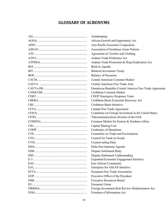# **GLOSSARY OF ACRONYMS**

<span id="page-56-0"></span>

| Antidumping                                             |
|---------------------------------------------------------|
| African Growth and Opportunity Act                      |
| Asia Pacific Economic Cooperation                       |
| Association of Southeast Asian Nations                  |
| Agreement on Textiles and Clothing                      |
| Andean Trade Preference Act                             |
| Andean Trade Promotion & Drug Eradication Act           |
| Built-in Agenda                                         |
| <b>Bilateral Investment Treaty</b>                      |
| <b>Balance of Payments</b>                              |
| Central American Common Market                          |
| Central American Free Trade Area                        |
| Dominican Republic-Central America Free Trade Agreement |
| Caribbean Common Market                                 |
| COOP Emergency Response Team                            |
| Caribbean Basin Economic Recovery Act                   |
| Caribbean Basin Initiative                              |
| Canada Free Trade Agreement                             |
| Committee on Foreign Investment in the United States    |
| Telecommunications division of the OAS                  |
| Common Market for Eastern & Southern Africa             |
| Capital Sharing Cost                                    |
| Continuity of Operations                                |
| Committee on Trade and Environment                      |
| Council for Trade in Goods                              |
| Countervailing Duty                                     |
| Doha Development Agenda                                 |
| Dispute Settlement Body                                 |
| Dispute Settlement Understanding                        |
| Expanded Economic Engagement Initiative                 |
| East African Community                                  |
| Enterprise for ASEAN Initiative                         |
| European Free Trade Association                         |
| Executive Office of the President                       |
| <b>Executive Resources Board</b>                        |
| European Union                                          |
| Foreign Investment Risk Review Modernization Act        |
| Freedom of Information Act                              |
|                                                         |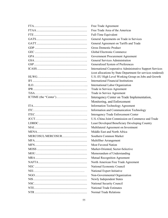| Free Trade Agreement                                         |
|--------------------------------------------------------------|
| Free Trade Area of the Americas                              |
| Full-Time Equivalent                                         |
| General Agreements on Trade in Services                      |
| General Agreement on Tariffs and Trade                       |
| <b>Gross Domestic Product</b>                                |
| Global Electronic Commerce                                   |
| Government Procurement Agreement                             |
| General Services Administration                              |
| Generalized System of Preferences                            |
| International Cooperative Administrative Support Services    |
| (cost allocations by State Department for services rendered) |
| U.S.-EU High Level Working Group on Jobs and Growth          |
| <b>International Financial Institutions</b>                  |
| International Labor Organization                             |
| Trade in Services Agreement                                  |
| Trade in Service Agreement                                   |
| Interagency Center on Trade Implementation,                  |
| Monitoring, and Enforcement                                  |
| <b>Information Technology Agreement</b>                      |
| Information and Communication Technology                     |
| <b>Interagency Trade Enforcement Center</b>                  |
| U.S.-China Joint Commission on Commerce and Trade            |
| Least Developed Beneficiary Developing Country               |
| Multilateral Agreement on Investment                         |
| Middle East and North Africa                                 |
| Southern Common Market                                       |
| Multifiber Arrangement                                       |
| <b>Most Favored Nation</b>                                   |
| Market-Oriented, Sector-Selective                            |
| Memorandum of Understanding                                  |
| Mutual Recognition Agreement                                 |
| North American Free Trade Agreement                          |
| National Economic Council                                    |
| National Export Initiative                                   |
| Non-Governmental Organization                                |
| Newly Independent States                                     |
| National Security Council                                    |
| <b>National Trade Estimates</b>                              |
| <b>Normal Trade Relations</b>                                |
|                                                              |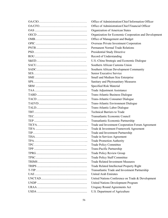| Office of Administration/Chief Information Officer    |
|-------------------------------------------------------|
| Office of Administration/Chief Financial Officer      |
| Organization of American States                       |
| Organization for Economic Cooperation and Development |
| Office of Management and Budget                       |
| Overseas Private Investment Corporation               |
| <b>Permanent Normal Trade Relations</b>               |
| Presidential Study Directive                          |
| Record of Understanding                               |
| U.S.-China Strategic and Economic Dialogue            |
| Southern African Customs Union                        |
| Southern African Development Community                |
| Senior Executive Service                              |
| Small and Medium Size Enterprise                      |
| Sanitary and Phytosanitary Measures                   |
| Specified Risk Material                               |
| Trade Adjustment Assistance                           |
| Trans-Atlantic Business Dialogue                      |
| Trans-Atlantic Consumer Dialogue                      |
| Trans-Atlantic Environment Dialogue                   |
| Trans-Atlantic Labor Dialogue                         |
| <b>Technical Barriers to Trade</b>                    |
| Transatlantic Economic Council                        |
| Transatlantic Economic Partnership                    |
| Trade and Investment Cooperation Forum Agreement      |
| Trade & Investment Framework Agreement                |
| Trade and Investment Partnership                      |
| Trade in Services Agreement                           |
| <b>Trade Promotion Authority</b>                      |
| <b>Trade Policy Committee</b>                         |
| Trans-Pacific Partnership                             |
| Trade Policy Review Group                             |
| <b>Trade Policy Staff Committee</b>                   |
| <b>Trade Related Investment Measures</b>              |
| Trade Related Intellectual Property Right             |
| Transatlantic Trade and Investment Partnership        |
| <b>United Arab Emirates</b>                           |
| United Nations Conference on Trade & Development      |
| United Nations Development Program                    |
| Uruguay Round Agreements Act                          |
| U.S. Department of Agriculture                        |